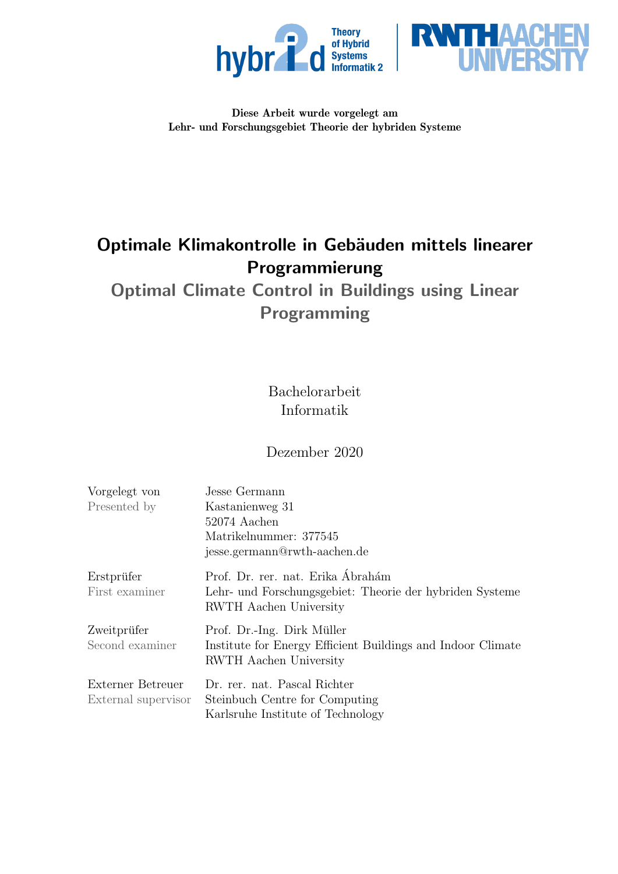



### Diese Arbeit wurde vorgelegt am Lehr- und Forschungsgebiet Theorie der hybriden Systeme

# Optimale Klimakontrolle in Gebäuden mittels linearer Programmierung

Optimal Climate Control in Buildings using Linear Programming

> Bachelorarbeit Informatik

## Dezember 2020

| Vorgelegt von       | Jesse Germann                                                                      |  |  |
|---------------------|------------------------------------------------------------------------------------|--|--|
| Presented by        | Kastanienweg 31                                                                    |  |  |
|                     | 52074 Aachen                                                                       |  |  |
|                     | Matrikelnummer: 377545                                                             |  |  |
|                     | jesse.germann@rwth-aachen.de                                                       |  |  |
| Erstprüfer          | Prof. Dr. rer. nat. Erika Ábrahám                                                  |  |  |
| First examiner      | Lehr- und Forschungsgebiet: Theorie der hybriden Systeme<br>RWTH Aachen University |  |  |
| Zweitprüfer         | Prof. Dr.-Ing. Dirk Müller                                                         |  |  |
| Second examiner     | Institute for Energy Efficient Buildings and Indoor Climate                        |  |  |
|                     | RWTH Aachen University                                                             |  |  |
| Externer Betreuer   | Dr. rer. nat. Pascal Richter                                                       |  |  |
| External supervisor | Steinbuch Centre for Computing                                                     |  |  |
|                     | Karlsruhe Institute of Technology                                                  |  |  |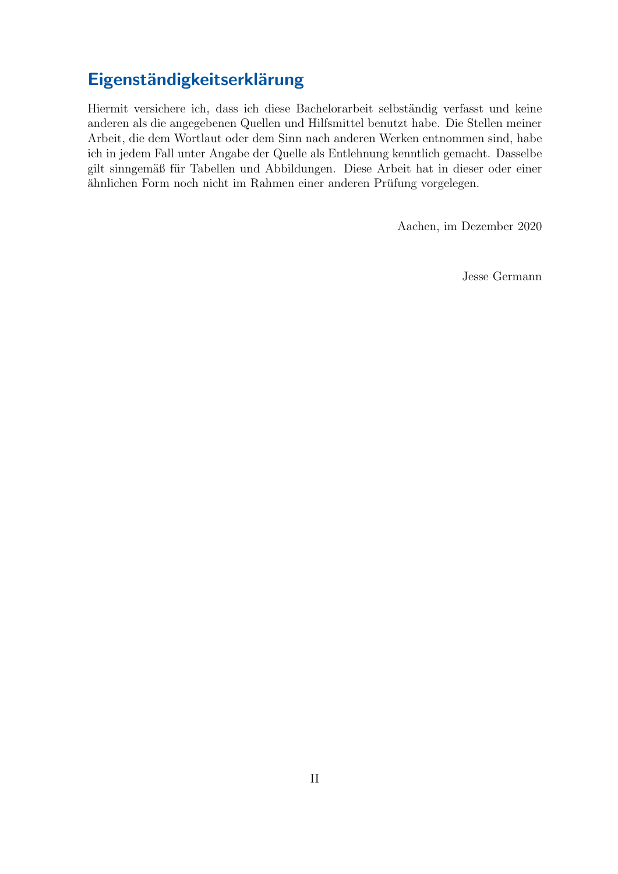# Eigenständigkeitserklärung

Hiermit versichere ich, dass ich diese Bachelorarbeit selbständig verfasst und keine anderen als die angegebenen Quellen und Hilfsmittel benutzt habe. Die Stellen meiner Arbeit, die dem Wortlaut oder dem Sinn nach anderen Werken entnommen sind, habe ich in jedem Fall unter Angabe der Quelle als Entlehnung kenntlich gemacht. Dasselbe gilt sinngemäß für Tabellen und Abbildungen. Diese Arbeit hat in dieser oder einer ähnlichen Form noch nicht im Rahmen einer anderen Prüfung vorgelegen.

Aachen, im Dezember 2020

Jesse Germann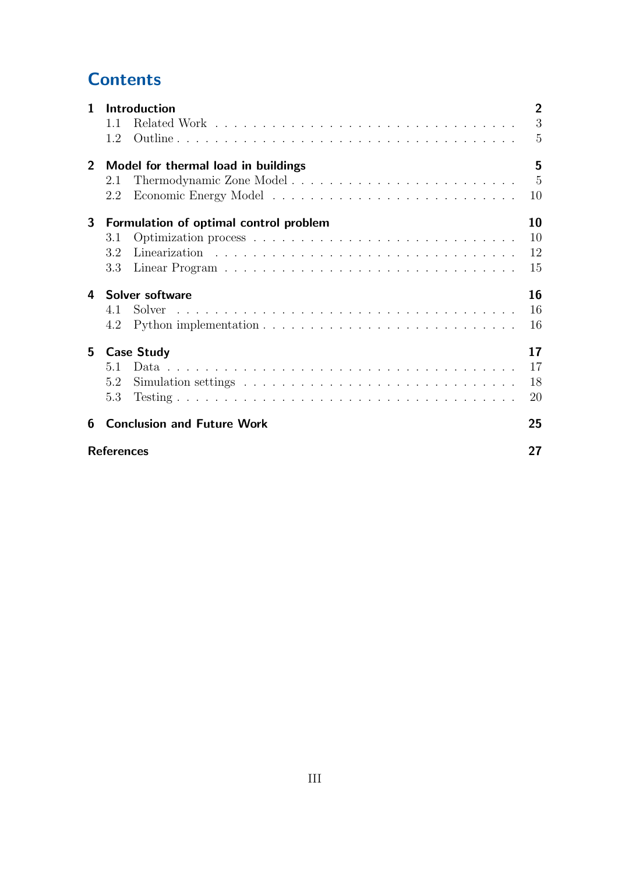# **Contents**

| $\mathbf{1}$   |                   | Introduction                           | $\overline{2}$  |
|----------------|-------------------|----------------------------------------|-----------------|
|                | 1.1               |                                        | 3               |
|                | 1.2               |                                        | 5               |
| $\overline{2}$ |                   | Model for thermal load in buildings    | 5               |
|                | 2.1               |                                        | $5\overline{)}$ |
|                | 2.2               |                                        | 10              |
| 3              |                   | Formulation of optimal control problem | 10              |
|                | 3.1               |                                        | 10              |
|                | 3.2               |                                        | 12              |
|                | 3.3               |                                        | 15              |
| 4              |                   | Solver software                        | 16              |
|                | 4.1               | Solver                                 | 16              |
|                | 4.2               |                                        | 16              |
| 5              |                   | <b>Case Study</b>                      | 17              |
|                | 5.1               |                                        | 17              |
|                | 5.2               |                                        | 18              |
|                | 5.3               |                                        | 20              |
| 6              |                   | <b>Conclusion and Future Work</b>      | 25              |
|                | <b>References</b> |                                        | 27              |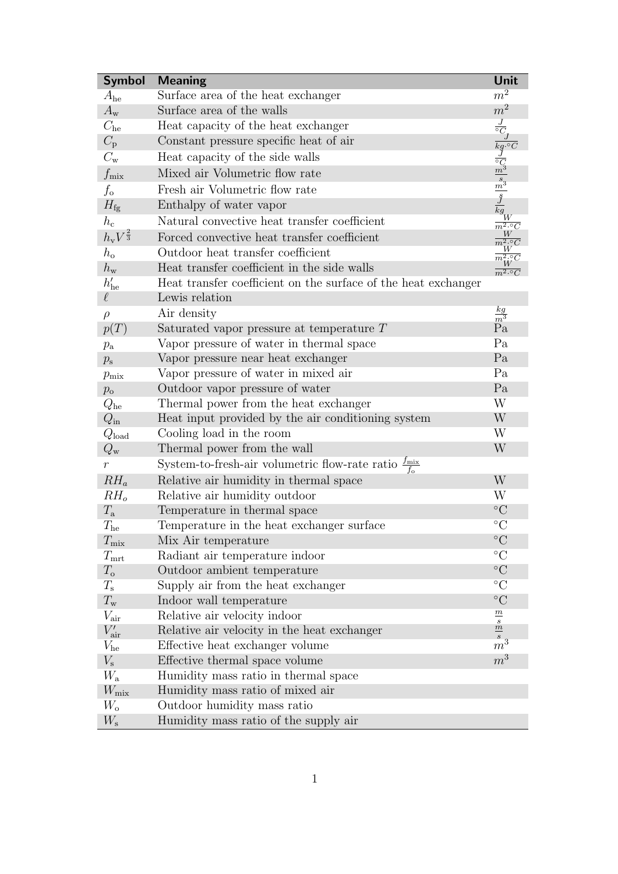<span id="page-3-0"></span>

| <b>Symbol</b>                | <b>Meaning</b>                                                              | Unit                                                                                                                                                   |
|------------------------------|-----------------------------------------------------------------------------|--------------------------------------------------------------------------------------------------------------------------------------------------------|
| $A_{he}$                     | Surface area of the heat exchanger                                          | $m^2$                                                                                                                                                  |
| $A_{\rm w}$                  | Surface area of the walls                                                   | m <sup>2</sup>                                                                                                                                         |
| $C_{he}$                     | Heat capacity of the heat exchanger                                         | $\frac{J}{\circ C_J}$                                                                                                                                  |
| $C_{\rm p}$                  | Constant pressure specific heat of air                                      |                                                                                                                                                        |
| $C_{\rm w}$                  | Heat capacity of the side walls                                             |                                                                                                                                                        |
| $f_{\rm mix}$                | Mixed air Volumetric flow rate                                              |                                                                                                                                                        |
| $f_{\rm o}$                  | Fresh air Volumetric flow rate                                              |                                                                                                                                                        |
| $H_{\text{fg}}$              | Enthalpy of water vapor                                                     |                                                                                                                                                        |
| $h_{\rm c}$                  | Natural convective heat transfer coefficient                                | $\begin{array}{l} \overline{kg \cdot {^\circ}C} \\ \frac{J}{^\circ C_3} \\ \frac{m^3}{s} \\ \frac{J}{kg} \\ \frac{W}{m^2 \cdot {^\circ}C} \end{array}$ |
| $h_{\rm v}V^{\frac{2}{3}}$   | Forced convective heat transfer coefficient                                 |                                                                                                                                                        |
| $h_{\rm o}$                  | Outdoor heat transfer coefficient                                           |                                                                                                                                                        |
| $h_{\rm w}$                  | Heat transfer coefficient in the side walls                                 |                                                                                                                                                        |
| $h'_{\text{he}}$             | Heat transfer coefficient on the surface of the heat exchanger              | $\frac{1}{m^2 \cdot \circ C}$                                                                                                                          |
| $\ell$                       | Lewis relation                                                              |                                                                                                                                                        |
| $\rho$                       | Air density                                                                 | $\frac{kg}{m^3}$                                                                                                                                       |
| p(T)                         | Saturated vapor pressure at temperature $T$                                 | Pa                                                                                                                                                     |
|                              | Vapor pressure of water in thermal space                                    | Pa                                                                                                                                                     |
| $p_{\rm a}$<br>$p_{\rm s}$   | Vapor pressure near heat exchanger                                          | Pa                                                                                                                                                     |
|                              | Vapor pressure of water in mixed air                                        | Pa                                                                                                                                                     |
| $p_{\rm mix}$<br>$p_{\rm o}$ | Outdoor vapor pressure of water                                             | Pa                                                                                                                                                     |
| $Q_{\rm he}$                 | Thermal power from the heat exchanger                                       | W                                                                                                                                                      |
| $Q_{\rm in}$                 | Heat input provided by the air conditioning system                          | W                                                                                                                                                      |
| $Q_{\rm load}$               | Cooling load in the room                                                    | W                                                                                                                                                      |
| $Q_{\rm w}$                  | Thermal power from the wall                                                 | W                                                                                                                                                      |
| $\,r$                        | System-to-fresh-air volumetric flow-rate ratio $\frac{f_{\text{mix}}}{f_o}$ |                                                                                                                                                        |
| $RH_a$                       | Relative air humidity in thermal space                                      | W                                                                                                                                                      |
| $RH_o$                       | Relative air humidity outdoor                                               | W                                                                                                                                                      |
| $T_{\rm a}$                  | Temperature in thermal space                                                | $\rm ^{\circ}C$                                                                                                                                        |
| $T_{\rm he}$                 | Temperature in the heat exchanger surface                                   | $\rm ^{\circ}C$                                                                                                                                        |
| $T_{\rm mix}$                | Mix Air temperature                                                         | $\rm ^{\circ}C$                                                                                                                                        |
| $T_{\rm mrt}$                | Radiant air temperature indoor                                              | $\rm ^{\circ}C$                                                                                                                                        |
| $T_{\rm o}$                  | Outdoor ambient temperature                                                 | $\rm ^{\circ}C$                                                                                                                                        |
| $T_{\rm s}$                  | Supply air from the heat exchanger                                          | $\rm ^{\circ}C$                                                                                                                                        |
| $T_{\rm w}$                  | Indoor wall temperature                                                     | $\rm ^{\circ}C$                                                                                                                                        |
| $V_{\rm air}$                | Relative air velocity indoor                                                |                                                                                                                                                        |
| $V'_{\rm air}$               | Relative air velocity in the heat exchanger                                 | $\frac{m}{s}$                                                                                                                                          |
| $V_{\rm he}$                 | Effective heat exchanger volume                                             | $\stackrel{s}{m}{}^3$                                                                                                                                  |
| $V_{\rm s}$                  | Effective thermal space volume                                              | $m^3$                                                                                                                                                  |
| $W_{\rm a}$                  | Humidity mass ratio in thermal space                                        |                                                                                                                                                        |
| $W_{\rm mix}$                | Humidity mass ratio of mixed air                                            |                                                                                                                                                        |
| $W_{\rm o}$                  | Outdoor humidity mass ratio                                                 |                                                                                                                                                        |
| $W_{\rm s}$                  | Humidity mass ratio of the supply air                                       |                                                                                                                                                        |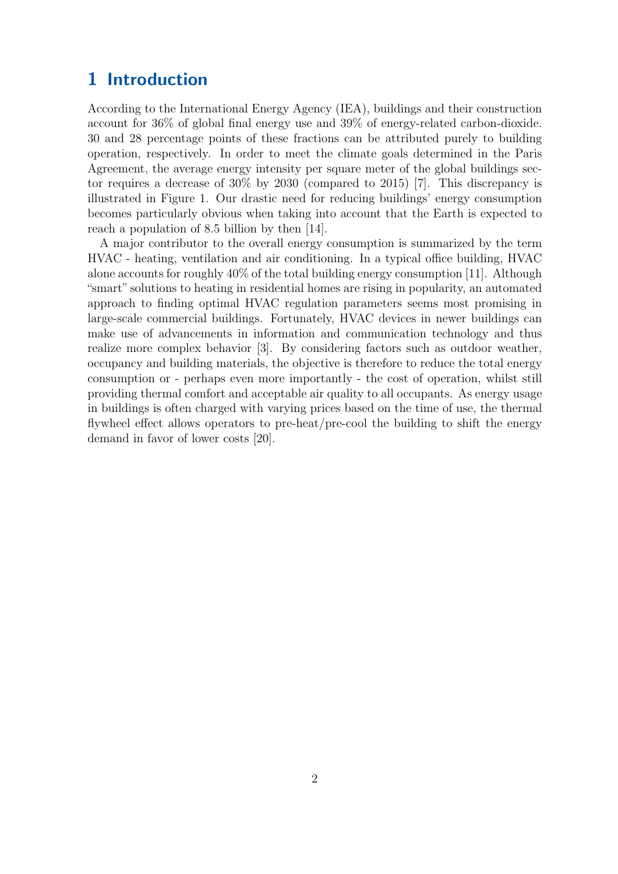## <span id="page-4-0"></span>1 Introduction

According to the International Energy Agency (IEA), buildings and their construction account for 36% of global final energy use and 39% of energy-related carbon-dioxide. 30 and 28 percentage points of these fractions can be attributed purely to building operation, respectively. In order to meet the climate goals determined in the Paris Agreement, the average energy intensity per square meter of the global buildings sector requires a decrease of 30% by 2030 (compared to 2015) [\[7\]](#page-29-1). This discrepancy is illustrated in Figure [1.](#page-5-1) Our drastic need for reducing buildings' energy consumption becomes particularly obvious when taking into account that the Earth is expected to reach a population of 8.5 billion by then [\[14\]](#page-30-0).

A major contributor to the overall energy consumption is summarized by the term HVAC - heating, ventilation and air conditioning. In a typical office building, HVAC alone accounts for roughly 40% of the total building energy consumption [\[11\]](#page-30-1). Although "smart" solutions to heating in residential homes are rising in popularity, an automated approach to finding optimal HVAC regulation parameters seems most promising in large-scale commercial buildings. Fortunately, HVAC devices in newer buildings can make use of advancements in information and communication technology and thus realize more complex behavior [\[3\]](#page-29-2). By considering factors such as outdoor weather, occupancy and building materials, the objective is therefore to reduce the total energy consumption or - perhaps even more importantly - the cost of operation, whilst still providing thermal comfort and acceptable air quality to all occupants. As energy usage in buildings is often charged with varying prices based on the time of use, the thermal flywheel effect allows operators to pre-heat/pre-cool the building to shift the energy demand in favor of lower costs [\[20\]](#page-30-2).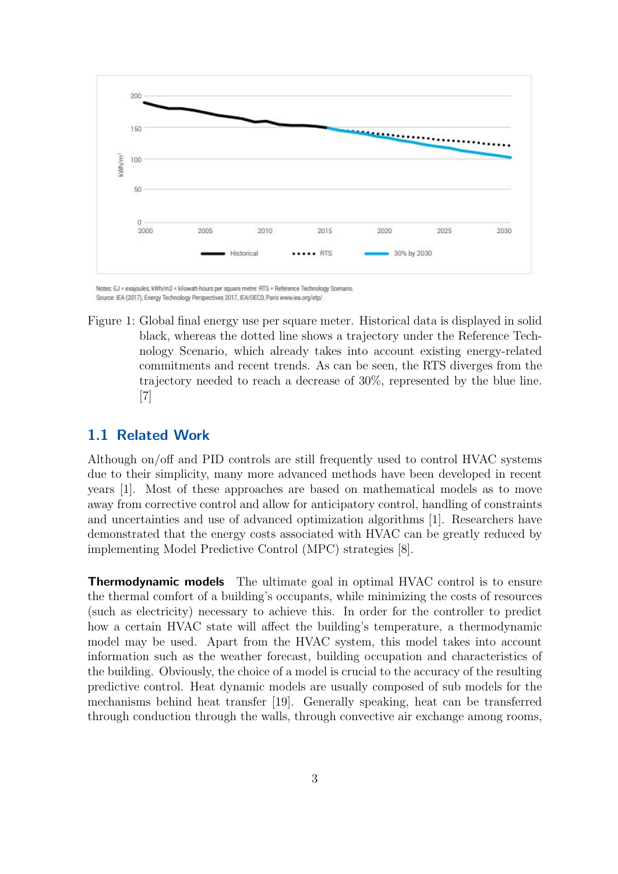<span id="page-5-1"></span>

Notes: EJ = exajoules; kWh/m2 = kilowatt-hours per square metre: RTS = Reference Technology Scenario Source: IEA (2017), Energy Technology Perspectives 2017, IEA/OECD, Paris www.iea.org/etp/

Figure 1: Global final energy use per square meter. Historical data is displayed in solid black, whereas the dotted line shows a trajectory under the Reference Technology Scenario, which already takes into account existing energy-related commitments and recent trends. As can be seen, the RTS diverges from the trajectory needed to reach a decrease of 30%, represented by the blue line. [\[7\]](#page-29-1)

## <span id="page-5-0"></span>1.1 Related Work

Although on/off and PID controls are still frequently used to control HVAC systems due to their simplicity, many more advanced methods have been developed in recent years [\[1\]](#page-29-3). Most of these approaches are based on mathematical models as to move away from corrective control and allow for anticipatory control, handling of constraints and uncertainties and use of advanced optimization algorithms [\[1\]](#page-29-3). Researchers have demonstrated that the energy costs associated with HVAC can be greatly reduced by implementing Model Predictive Control (MPC) strategies [\[8\]](#page-29-4).

**Thermodynamic models** The ultimate goal in optimal HVAC control is to ensure the thermal comfort of a building's occupants, while minimizing the costs of resources (such as electricity) necessary to achieve this. In order for the controller to predict how a certain HVAC state will affect the building's temperature, a thermodynamic model may be used. Apart from the HVAC system, this model takes into account information such as the weather forecast, building occupation and characteristics of the building. Obviously, the choice of a model is crucial to the accuracy of the resulting predictive control. Heat dynamic models are usually composed of sub models for the mechanisms behind heat transfer [\[19\]](#page-30-3). Generally speaking, heat can be transferred through conduction through the walls, through convective air exchange among rooms,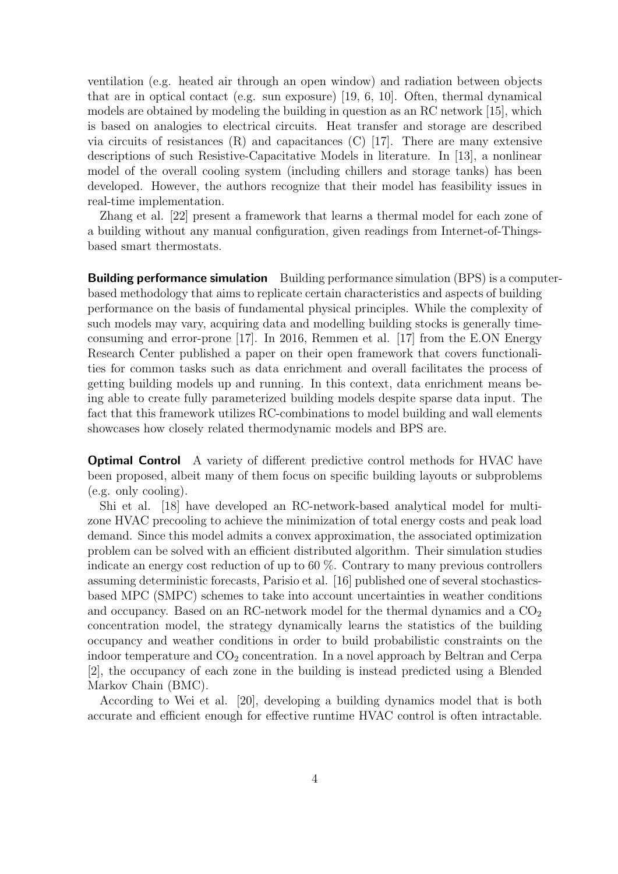ventilation (e.g. heated air through an open window) and radiation between objects that are in optical contact (e.g. sun exposure) [\[19,](#page-30-3) [6,](#page-29-5) [10\]](#page-29-6). Often, thermal dynamical models are obtained by modeling the building in question as an RC network [\[15\]](#page-30-4), which is based on analogies to electrical circuits. Heat transfer and storage are described via circuits of resistances (R) and capacitances (C) [\[17\]](#page-30-5). There are many extensive descriptions of such Resistive-Capacitative Models in literature. In [\[13\]](#page-30-6), a nonlinear model of the overall cooling system (including chillers and storage tanks) has been developed. However, the authors recognize that their model has feasibility issues in real-time implementation.

Zhang et al. [\[22\]](#page-31-0) present a framework that learns a thermal model for each zone of a building without any manual configuration, given readings from Internet-of-Thingsbased smart thermostats.

**Building performance simulation** Building performance simulation (BPS) is a computerbased methodology that aims to replicate certain characteristics and aspects of building performance on the basis of fundamental physical principles. While the complexity of such models may vary, acquiring data and modelling building stocks is generally timeconsuming and error-prone [\[17\]](#page-30-5). In 2016, Remmen et al. [\[17\]](#page-30-5) from the E.ON Energy Research Center published a paper on their open framework that covers functionalities for common tasks such as data enrichment and overall facilitates the process of getting building models up and running. In this context, data enrichment means being able to create fully parameterized building models despite sparse data input. The fact that this framework utilizes RC-combinations to model building and wall elements showcases how closely related thermodynamic models and BPS are.

**Optimal Control** A variety of different predictive control methods for HVAC have been proposed, albeit many of them focus on specific building layouts or subproblems (e.g. only cooling).

Shi et al. [\[18\]](#page-30-7) have developed an RC-network-based analytical model for multizone HVAC precooling to achieve the minimization of total energy costs and peak load demand. Since this model admits a convex approximation, the associated optimization problem can be solved with an efficient distributed algorithm. Their simulation studies indicate an energy cost reduction of up to 60 %. Contrary to many previous controllers assuming deterministic forecasts, Parisio et al. [\[16\]](#page-30-8) published one of several stochasticsbased MPC (SMPC) schemes to take into account uncertainties in weather conditions and occupancy. Based on an RC-network model for the thermal dynamics and a  $CO<sub>2</sub>$ concentration model, the strategy dynamically learns the statistics of the building occupancy and weather conditions in order to build probabilistic constraints on the indoor temperature and  $CO<sub>2</sub>$  concentration. In a novel approach by Beltran and Cerpa [\[2\]](#page-29-7), the occupancy of each zone in the building is instead predicted using a Blended Markov Chain (BMC).

According to Wei et al. [\[20\]](#page-30-2), developing a building dynamics model that is both accurate and efficient enough for effective runtime HVAC control is often intractable.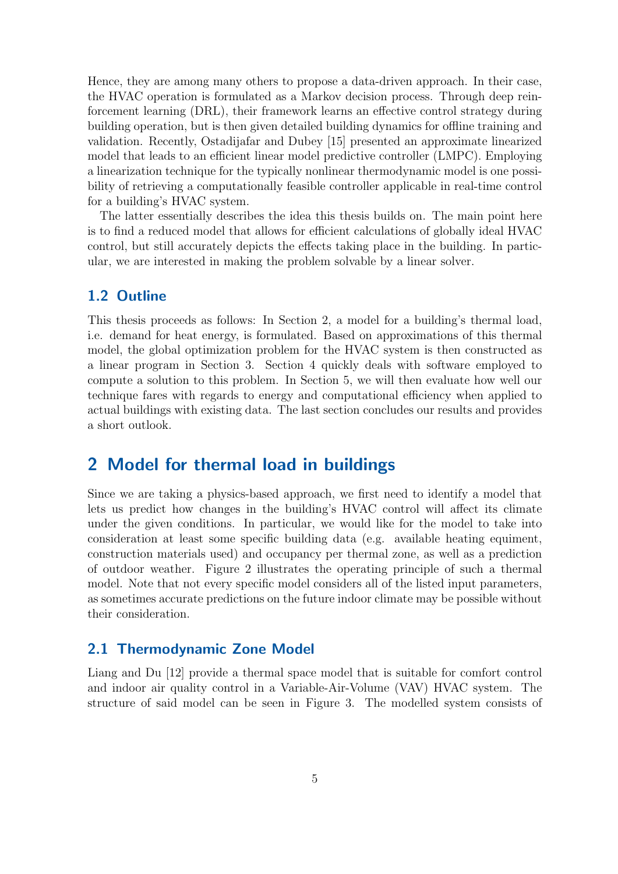Hence, they are among many others to propose a data-driven approach. In their case, the HVAC operation is formulated as a Markov decision process. Through deep reinforcement learning (DRL), their framework learns an effective control strategy during building operation, but is then given detailed building dynamics for offline training and validation. Recently, Ostadijafar and Dubey [\[15\]](#page-30-4) presented an approximate linearized model that leads to an efficient linear model predictive controller (LMPC). Employing a linearization technique for the typically nonlinear thermodynamic model is one possibility of retrieving a computationally feasible controller applicable in real-time control for a building's HVAC system.

The latter essentially describes the idea this thesis builds on. The main point here is to find a reduced model that allows for efficient calculations of globally ideal HVAC control, but still accurately depicts the effects taking place in the building. In particular, we are interested in making the problem solvable by a linear solver.

## <span id="page-7-0"></span>1.2 Outline

This thesis proceeds as follows: In Section 2, a model for a building's thermal load, i.e. demand for heat energy, is formulated. Based on approximations of this thermal model, the global optimization problem for the HVAC system is then constructed as a linear program in Section 3. Section 4 quickly deals with software employed to compute a solution to this problem. In Section 5, we will then evaluate how well our technique fares with regards to energy and computational efficiency when applied to actual buildings with existing data. The last section concludes our results and provides a short outlook.

## <span id="page-7-1"></span>2 Model for thermal load in buildings

Since we are taking a physics-based approach, we first need to identify a model that lets us predict how changes in the building's HVAC control will affect its climate under the given conditions. In particular, we would like for the model to take into consideration at least some specific building data (e.g. available heating equiment, construction materials used) and occupancy per thermal zone, as well as a prediction of outdoor weather. Figure [2](#page-8-0) illustrates the operating principle of such a thermal model. Note that not every specific model considers all of the listed input parameters, as sometimes accurate predictions on the future indoor climate may be possible without their consideration.

## <span id="page-7-2"></span>2.1 Thermodynamic Zone Model

Liang and Du [\[12\]](#page-30-9) provide a thermal space model that is suitable for comfort control and indoor air quality control in a Variable-Air-Volume (VAV) HVAC system. The structure of said model can be seen in Figure [3.](#page-9-0) The modelled system consists of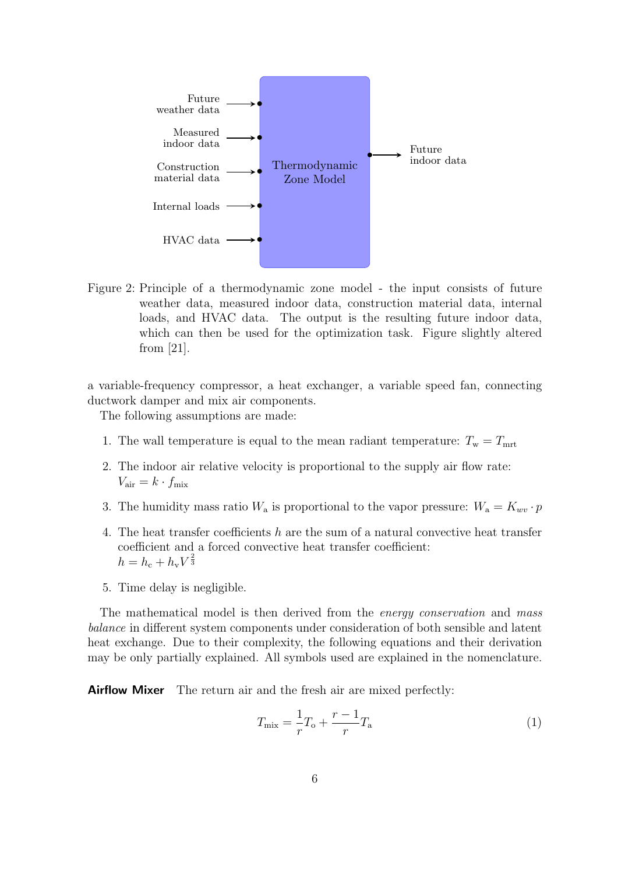<span id="page-8-0"></span>

Figure 2: Principle of a thermodynamic zone model - the input consists of future weather data, measured indoor data, construction material data, internal loads, and HVAC data. The output is the resulting future indoor data, which can then be used for the optimization task. Figure slightly altered from [\[21\]](#page-30-10).

a variable-frequency compressor, a heat exchanger, a variable speed fan, connecting ductwork damper and mix air components.

The following assumptions are made:

- 1. The wall temperature is equal to the mean radiant temperature:  $T_w = T_{mrt}$
- 2. The indoor air relative velocity is proportional to the supply air flow rate:  $V_{\text{air}} = k \cdot f_{\text{mix}}$
- 3. The humidity mass ratio  $W_a$  is proportional to the vapor pressure:  $W_a = K_{wv} \cdot p$
- 4. The heat transfer coefficients h are the sum of a natural convective heat transfer coefficient and a forced convective heat transfer coefficient:  $h = h_{\rm c} + h_{\rm v} V^{\frac{2}{3}}$
- 5. Time delay is negligible.

The mathematical model is then derived from the *energy conservation* and mass balance in different system components under consideration of both sensible and latent heat exchange. Due to their complexity, the following equations and their derivation may be only partially explained. All symbols used are explained in the [nomenclature.](#page-3-0)

**Airflow Mixer** The return air and the fresh air are mixed perfectly:

$$
T_{\text{mix}} = \frac{1}{r}T_o + \frac{r-1}{r}T_a
$$
 (1)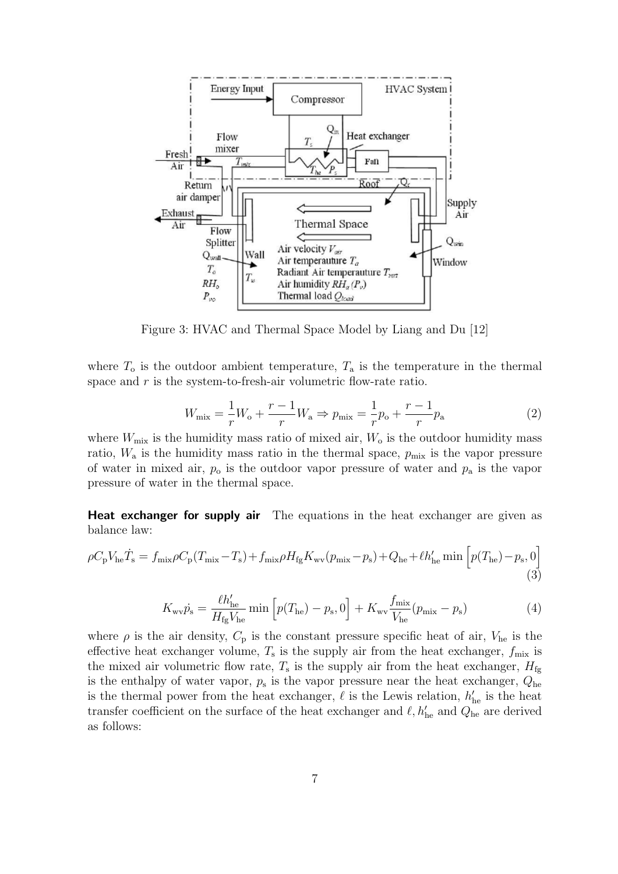<span id="page-9-0"></span>

Figure 3: HVAC and Thermal Space Model by Liang and Du [\[12\]](#page-30-9)

where  $T_0$  is the outdoor ambient temperature,  $T_a$  is the temperature in the thermal space and  $r$  is the system-to-fresh-air volumetric flow-rate ratio.

$$
W_{\text{mix}} = \frac{1}{r}W_{\text{o}} + \frac{r-1}{r}W_{\text{a}} \Rightarrow p_{\text{mix}} = \frac{1}{r}p_{\text{o}} + \frac{r-1}{r}p_{\text{a}}
$$
(2)

where  $W_{\text{mix}}$  is the humidity mass ratio of mixed air,  $W_0$  is the outdoor humidity mass ratio,  $W_a$  is the humidity mass ratio in the thermal space,  $p_{\text{mix}}$  is the vapor pressure of water in mixed air,  $p_0$  is the outdoor vapor pressure of water and  $p_a$  is the vapor pressure of water in the thermal space.

**Heat exchanger for supply air** The equations in the heat exchanger are given as balance law:

$$
\rho C_{\rm p} V_{\rm he} \dot{T}_{\rm s} = f_{\rm mix} \rho C_{\rm p} (T_{\rm mix} - T_{\rm s}) + f_{\rm mix} \rho H_{\rm fg} K_{\rm wv} (p_{\rm mix} - p_{\rm s}) + Q_{\rm he} + \ell h_{\rm he}' \min \left[ p(T_{\rm he}) - p_{\rm s}, 0 \right] \tag{3}
$$

$$
K_{\rm wv}\dot{p}_{\rm s} = \frac{\ell h'_{\rm he}}{H_{\rm fg}V_{\rm he}} \min\left[p(T_{\rm he}) - p_{\rm s}, 0\right] + K_{\rm wv}\frac{f_{\rm mix}}{V_{\rm he}}(p_{\rm mix} - p_{\rm s})\tag{4}
$$

where  $\rho$  is the air density,  $C_p$  is the constant pressure specific heat of air,  $V_{he}$  is the effective heat exchanger volume,  $T_s$  is the supply air from the heat exchanger,  $f_{\text{mix}}$  is the mixed air volumetric flow rate,  $T_s$  is the supply air from the heat exchanger,  $H_{\text{fg}}$ is the enthalpy of water vapor,  $p_s$  is the vapor pressure near the heat exchanger,  $Q_{he}$ is the thermal power from the heat exchanger,  $\ell$  is the Lewis relation,  $h'_{he}$  is the heat transfer coefficient on the surface of the heat exchanger and  $\ell, h'_{he}$  and  $Q_{he}$  are derived as follows: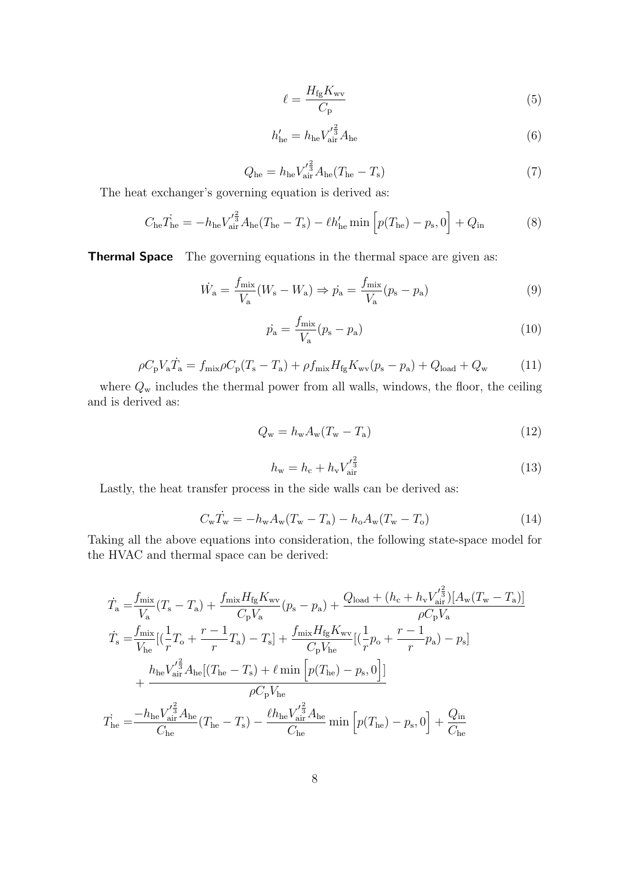$$
\ell = \frac{H_{\text{fg}} K_{\text{wv}}}{C_{\text{p}}} \tag{5}
$$

$$
h'_{\text{he}} = h_{\text{he}} V'^{\frac{2}{3}}_{\text{air}} A_{\text{he}} \tag{6}
$$

$$
Q_{\text{he}} = h_{\text{he}} V_{\text{air}}^{\prime \frac{2}{3}} A_{\text{he}} (T_{\text{he}} - T_{\text{s}})
$$
 (7)

The heat exchanger's governing equation is derived as:

$$
C_{\text{he}} \dot{T}_{\text{he}} = -h_{\text{he}} V_{\text{air}}'^{\frac{2}{3}} A_{\text{he}} (T_{\text{he}} - T_{\text{s}}) - \ell h_{\text{he}}' \min \left[ p(T_{\text{he}}) - p_{\text{s}}, 0 \right] + Q_{\text{in}} \tag{8}
$$

Thermal Space The governing equations in the thermal space are given as:

$$
\dot{W}_a = \frac{f_{\text{mix}}}{V_a}(W_s - W_a) \Rightarrow \dot{p}_a = \frac{f_{\text{mix}}}{V_a}(p_s - p_a)
$$
\n(9)

$$
\dot{p}_{\rm a} = \frac{f_{\rm mix}}{V_{\rm a}} (p_{\rm s} - p_{\rm a}) \tag{10}
$$

$$
\rho C_{\rm p} V_{\rm a} \dot{T}_{\rm a} = f_{\rm mix} \rho C_{\rm p} (T_{\rm s} - T_{\rm a}) + \rho f_{\rm mix} H_{\rm fg} K_{\rm wv} (p_{\rm s} - p_{\rm a}) + Q_{\rm load} + Q_{\rm w}
$$
(11)

where  $Q_w$  includes the thermal power from all walls, windows, the floor, the ceiling and is derived as:

$$
Q_{\rm w} = h_{\rm w} A_{\rm w} (T_{\rm w} - T_{\rm a}) \tag{12}
$$

$$
h_{\rm w} = h_{\rm c} + h_{\rm v} V_{\rm air}'^{\frac{2}{3}} \tag{13}
$$

Lastly, the heat transfer process in the side walls can be derived as:

$$
C_{\rm w}\dot{T}_{\rm w} = -h_{\rm w}A_{\rm w}(T_{\rm w}-T_{\rm a}) - h_{\rm o}A_{\rm w}(T_{\rm w}-T_{\rm o})\tag{14}
$$

Taking all the above equations into consideration, the following state-space model for the HVAC and thermal space can be derived:

$$
\begin{split} \dot{T}_{\rm a} & = \frac{f_{\rm mix}}{V_{\rm a}} (T_{\rm s} - T_{\rm a}) + \frac{f_{\rm mix} H_{\rm fg} K_{\rm wv}}{C_{\rm p} V_{\rm a}} (p_{\rm s} - p_{\rm a}) + \frac{Q_{\rm load} + (h_{\rm c} + h_{\rm v} V_{\rm air}^{'\frac{2}{3}})[A_{\rm w}(T_{\rm w} - T_{\rm a})]}{\rho C_{\rm p} V_{\rm a}} \\ \dot{T}_{\rm s} & = \frac{f_{\rm mix}}{V_{\rm he}} [(\frac{1}{r}T_{\rm o} + \frac{r - 1}{r}T_{\rm a}) - T_{\rm s}] + \frac{f_{\rm mix} H_{\rm fg} K_{\rm wv}}{C_{\rm p} V_{\rm he}} [(\frac{1}{r}p_{\rm o} + \frac{r - 1}{r}p_{\rm a}) - p_{\rm s}] \\ & + \frac{h_{\rm he} V_{\rm air}^{'\frac{2}{3}} A_{\rm he} [(T_{\rm he} - T_{\rm s}) + \ell \min \left[ p(T_{\rm he}) - p_{\rm s}, 0 \right]]}{\rho C_{\rm p} V_{\rm he}} \\ \dot{T}_{\rm he} & = \frac{-h_{\rm he} V_{\rm air}^{'\frac{2}{3}} A_{\rm he}}{C_{\rm he}} (T_{\rm he} - T_{\rm s}) - \frac{\ell h_{\rm he} V_{\rm air}^{'\frac{2}{3}} A_{\rm he}}{C_{\rm he}} \min \left[ p(T_{\rm he}) - p_{\rm s}, 0 \right] + \frac{Q_{\rm in}}{C_{\rm he}} \end{split}
$$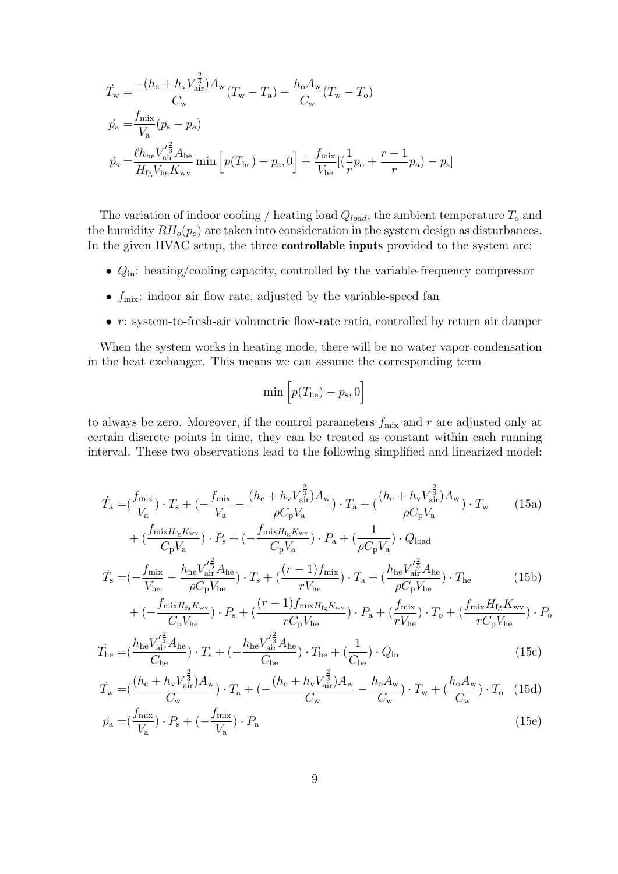$$
\begin{split} \dot{T}_{\rm w} &= \frac{-(h_{\rm c} + h_{\rm v} V_{\rm air}^{\frac{2}{3}})A_{\rm w}}{C_{\rm w}} (T_{\rm w} - T_{\rm a}) - \frac{h_{\rm o} A_{\rm w}}{C_{\rm w}} (T_{\rm w} - T_{\rm o}) \\ \dot{p}_{\rm a} &= \frac{f_{\rm mix}}{V_{\rm a}} (p_{\rm s} - p_{\rm a}) \\ \dot{p}_{\rm s} &= \frac{\ell h_{\rm he} V_{\rm air}^{'\frac{2}{3}} A_{\rm he}}{H_{\rm fg} V_{\rm he} K_{\rm wv}} \min \left[ p(T_{\rm he}) - p_{\rm s}, 0 \right] + \frac{f_{\rm mix}}{V_{\rm he}} \left[ (\frac{1}{r} p_{\rm o} + \frac{r - 1}{r} p_{\rm a}) - p_{\rm s} \right] \end{split}
$$

The variation of indoor cooling / heating load  $Q_{load}$ , the ambient temperature  $T_o$  and the humidity  $RH_o(p_o)$  are taken into consideration in the system design as disturbances. In the given HVAC setup, the three **controllable inputs** provided to the system are:

- $\bullet$   $Q_\mathrm{in}\!\!:$  heating/cooling capacity, controlled by the variable-frequency compressor
- $f_{\text{mix}}$ : indoor air flow rate, adjusted by the variable-speed fan
- $r:$  system-to-fresh-air volumetric flow-rate ratio, controlled by return air damper

When the system works in heating mode, there will be no water vapor condensation in the heat exchanger. This means we can assume the corresponding term

$$
\min\Big[p(T_{\text{he}})-p_{\text{s}},0\Big]
$$

to always be zero. Moreover, if the control parameters  $f_{\text{mix}}$  and r are adjusted only at certain discrete points in time, they can be treated as constant within each running interval. These two observations lead to the following simplified and linearized model:

<span id="page-11-0"></span>
$$
\dot{T}_{\rm a} = \left(\frac{f_{\rm mix}}{V_{\rm a}}\right) \cdot T_{\rm s} + \left(-\frac{f_{\rm mix}}{V_{\rm a}} - \frac{(h_{\rm c} + h_{\rm v}V_{\rm air}^{\frac{2}{3}})A_{\rm w}}{\rho C_{\rm p}V_{\rm a}}\right) \cdot T_{\rm a} + \left(\frac{(h_{\rm c} + h_{\rm v}V_{\rm air}^{\frac{2}{3}})A_{\rm w}}{\rho C_{\rm p}V_{\rm a}}\right) \cdot T_{\rm w}
$$
\n
$$
+ \left(\frac{f_{\rm mix}H_{\rm fg}K_{\rm wv}}{C_{\rm p}V_{\rm a}}\right) \cdot P_{\rm s} + \left(-\frac{f_{\rm mix}H_{\rm fg}K_{\rm wv}}{C_{\rm p}V_{\rm a}}\right) \cdot P_{\rm a} + \left(\frac{1}{\rho C_{\rm p}V_{\rm a}}\right) \cdot Q_{\rm load}
$$
\n
$$
\dot{T}_{\rm s} = \left(-\frac{f_{\rm mix}}{V_{\rm he}} - \frac{h_{\rm he}V_{\rm air}^{\prime \frac{2}{3}}A_{\rm he}}{\rho C_{\rm p}V_{\rm he}}\right) \cdot T_{\rm s} + \left(\frac{(r-1)f_{\rm mix}}{rV_{\rm he}}\right) \cdot T_{\rm a} + \left(\frac{h_{\rm he}V_{\rm air}^{\prime \frac{2}{3}}A_{\rm he}}{\rho C_{\rm p}V_{\rm he}}\right) \cdot T_{\rm he}
$$
\n
$$
f_{\rm mix}H_{\rm s}K_{\rm wv}
$$
\n
$$
(r-1)f_{\rm mix}H_{\rm s}K_{\rm wv}
$$
\n
$$
f_{\rm mix} = \frac{f_{\rm mix}H_{\rm s}K_{\rm wv}}{\rho C_{\rm p}V_{\rm he}}
$$
\n
$$
f_{\rm mix}H_{\rm s}K_{\rm wv}
$$
\n
$$
f_{\rm mix} = \frac{f_{\rm mix}H_{\rm s}K_{\rm wv}}{\rho C_{\rm p}V_{\rm h}}
$$
\n
$$
f_{\rm mix} = \frac{f_{\rm mix}H_{\rm s}K_{\rm wv}}{\rho C_{\rm p}V_{\rm h}}
$$
\n<

$$
+(-\frac{f_{\min H_{\text{fg}} K_{\text{wv}}}}{C_{\text{p}} V_{\text{he}}}) \cdot P_{\text{s}} + (\frac{(r-1) f_{\min H_{\text{fg}} K_{\text{wv}}}}{r C_{\text{p}} V_{\text{he}}}) \cdot P_{\text{a}} + (\frac{f_{\min}}{r V_{\text{he}}}) \cdot T_{\text{o}} + (\frac{f_{\min} H_{\text{fg}} K_{\text{wv}}}{r C_{\text{p}} V_{\text{he}}}) \cdot P_{\text{o}}
$$

$$
\dot{T}_{\text{he}} = \left(\frac{h_{\text{he}} V_{\text{air}}^{'\frac{2}{3}} A_{\text{he}}}{C_{\text{he}}}\right) \cdot T_{\text{s}} + \left(-\frac{h_{\text{he}} V_{\text{air}}^{'\frac{2}{3}} A_{\text{he}}}{C_{\text{he}}}\right) \cdot T_{\text{he}} + \left(\frac{1}{C_{\text{he}}}\right) \cdot Q_{\text{in}} \tag{15c}
$$

$$
\dot{T}_{\rm w} = \left(\frac{(h_{\rm c} + h_{\rm v}V_{\rm air}^{\frac{2}{3}})A_{\rm w}}{C_{\rm w}}\right) \cdot T_{\rm a} + \left(-\frac{(h_{\rm c} + h_{\rm v}V_{\rm air}^{\frac{2}{3}})A_{\rm w}}{C_{\rm w}} - \frac{h_{\rm o}A_{\rm w}}{C_{\rm w}}\right) \cdot T_{\rm w} + \left(\frac{h_{\rm o}A_{\rm w}}{C_{\rm w}}\right) \cdot T_{\rm o} \tag{15d}
$$

$$
\dot{p}_{\rm a} = \left(\frac{f_{\rm mix}}{V_{\rm a}}\right) \cdot P_{\rm s} + \left(-\frac{f_{\rm mix}}{V_{\rm a}}\right) \cdot P_{\rm a} \tag{15e}
$$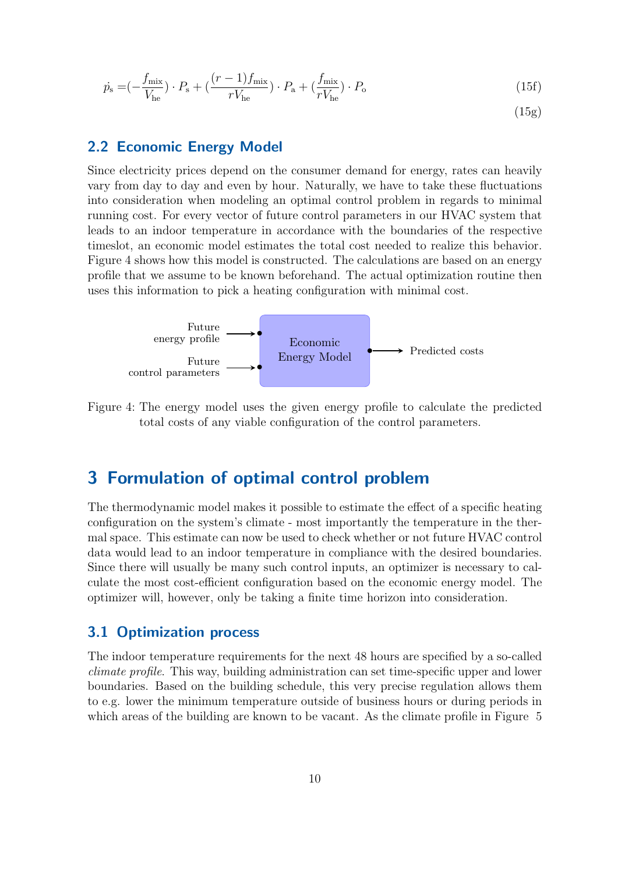$$
\dot{p}_{\rm s} = \left(-\frac{f_{\rm mix}}{V_{\rm he}}\right) \cdot P_{\rm s} + \left(\frac{(r-1)f_{\rm mix}}{rV_{\rm he}}\right) \cdot P_{\rm a} + \left(\frac{f_{\rm mix}}{rV_{\rm he}}\right) \cdot P_{\rm o} \tag{15f}
$$

 $(15g)$ 

## <span id="page-12-0"></span>2.2 Economic Energy Model

Since electricity prices depend on the consumer demand for energy, rates can heavily vary from day to day and even by hour. Naturally, we have to take these fluctuations into consideration when modeling an optimal control problem in regards to minimal running cost. For every vector of future control parameters in our HVAC system that leads to an indoor temperature in accordance with the boundaries of the respective timeslot, an economic model estimates the total cost needed to realize this behavior. Figure [4](#page-12-3) shows how this model is constructed. The calculations are based on an energy profile that we assume to be known beforehand. The actual optimization routine then uses this information to pick a heating configuration with minimal cost.

<span id="page-12-3"></span>

Figure 4: The energy model uses the given energy profile to calculate the predicted total costs of any viable configuration of the control parameters.

## <span id="page-12-1"></span>3 Formulation of optimal control problem

The thermodynamic model makes it possible to estimate the effect of a specific heating configuration on the system's climate - most importantly the temperature in the thermal space. This estimate can now be used to check whether or not future HVAC control data would lead to an indoor temperature in compliance with the desired boundaries. Since there will usually be many such control inputs, an optimizer is necessary to calculate the most cost-efficient configuration based on the economic energy model. The optimizer will, however, only be taking a finite time horizon into consideration.

### <span id="page-12-2"></span>3.1 Optimization process

The indoor temperature requirements for the next 48 hours are specified by a so-called climate profile. This way, building administration can set time-specific upper and lower boundaries. Based on the building schedule, this very precise regulation allows them to e.g. lower the minimum temperature outside of business hours or during periods in which areas of the building are known to be vacant. As the climate profile in Figure [5](#page-13-0)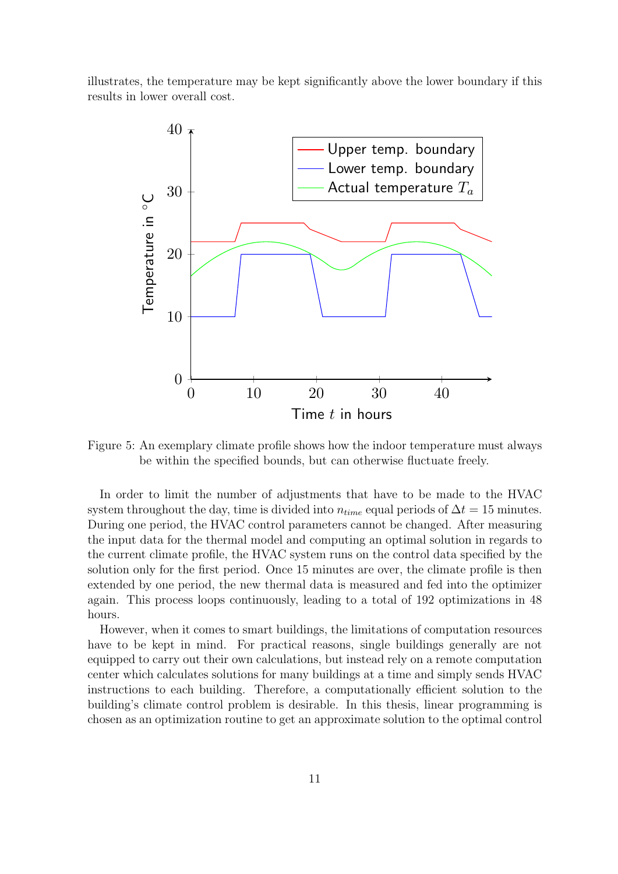<span id="page-13-0"></span>illustrates, the temperature may be kept significantly above the lower boundary if this results in lower overall cost.



Figure 5: An exemplary climate profile shows how the indoor temperature must always be within the specified bounds, but can otherwise fluctuate freely.

In order to limit the number of adjustments that have to be made to the HVAC system throughout the day, time is divided into  $n_{time}$  equal periods of  $\Delta t = 15$  minutes. During one period, the HVAC control parameters cannot be changed. After measuring the input data for the thermal model and computing an optimal solution in regards to the current climate profile, the HVAC system runs on the control data specified by the solution only for the first period. Once 15 minutes are over, the climate profile is then extended by one period, the new thermal data is measured and fed into the optimizer again. This process loops continuously, leading to a total of 192 optimizations in 48 hours.

However, when it comes to smart buildings, the limitations of computation resources have to be kept in mind. For practical reasons, single buildings generally are not equipped to carry out their own calculations, but instead rely on a remote computation center which calculates solutions for many buildings at a time and simply sends HVAC instructions to each building. Therefore, a computationally efficient solution to the building's climate control problem is desirable. In this thesis, linear programming is chosen as an optimization routine to get an approximate solution to the optimal control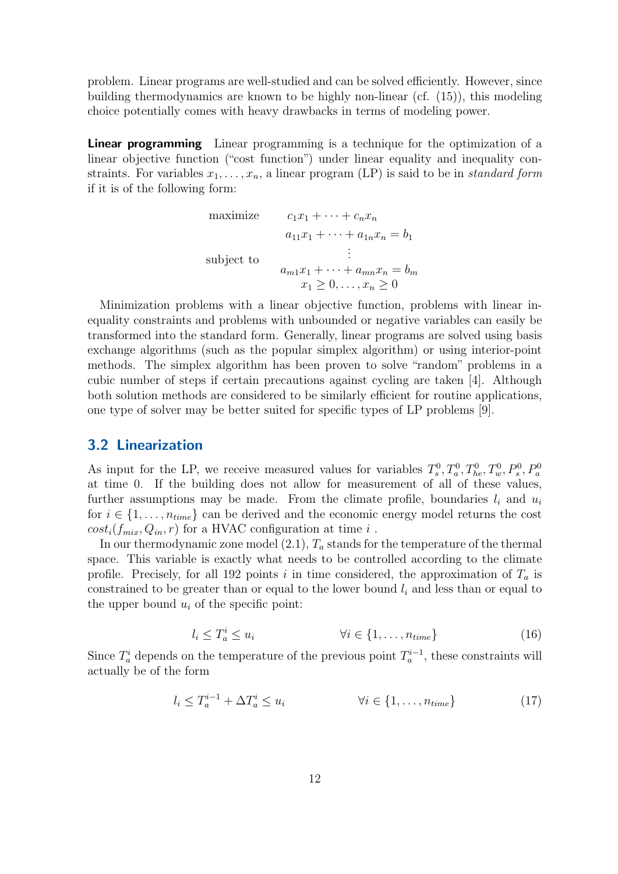problem. Linear programs are well-studied and can be solved efficiently. However, since building thermodynamics are known to be highly non-linear (cf. [\(15\)](#page-11-0)), this modeling choice potentially comes with heavy drawbacks in terms of modeling power.

**Linear programming** Linear programming is a technique for the optimization of a linear objective function ("cost function") under linear equality and inequality constraints. For variables  $x_1, \ldots, x_n$ , a linear program (LP) is said to be in *standard form* if it is of the following form:

maximize 
$$
c_1x_1 + \cdots + c_nx_n
$$
  
\n $a_{11}x_1 + \cdots + a_{1n}x_n = b_1$   
\nsubject to  
\n
$$
\vdots
$$
\n
$$
a_{m1}x_1 + \cdots + a_{mn}x_n = b_m
$$
\n
$$
x_1 \ge 0, \ldots, x_n \ge 0
$$

Minimization problems with a linear objective function, problems with linear inequality constraints and problems with unbounded or negative variables can easily be transformed into the standard form. Generally, linear programs are solved using basis exchange algorithms (such as the popular simplex algorithm) or using interior-point methods. The simplex algorithm has been proven to solve "random" problems in a cubic number of steps if certain precautions against cycling are taken [\[4\]](#page-29-8). Although both solution methods are considered to be similarly efficient for routine applications, one type of solver may be better suited for specific types of LP problems [\[9\]](#page-29-9).

#### <span id="page-14-0"></span>3.2 Linearization

As input for the LP, we receive measured values for variables  $T_s^0, T_a^0, T_{he}^0, T_w^0, P_s^0, P_a^0$ at time 0. If the building does not allow for measurement of all of these values, further assumptions may be made. From the climate profile, boundaries  $l_i$  and  $u_i$ for  $i \in \{1, \ldots, n_{time}\}\$ can be derived and the economic energy model returns the cost  $cost_i(f_{mix}, Q_{in}, r)$  for a HVAC configuration at time i.

In our thermodynamic zone model  $(2.1)$ ,  $T_a$  stands for the temperature of the thermal space. This variable is exactly what needs to be controlled according to the climate profile. Precisely, for all 192 points i in time considered, the approximation of  $T_a$  is constrained to be greater than or equal to the lower bound  $l_i$  and less than or equal to the upper bound  $u_i$  of the specific point:

$$
l_i \leq T_a^i \leq u_i \qquad \qquad \forall i \in \{1, \dots, n_{time}\} \tag{16}
$$

Since  $T_a^i$  depends on the temperature of the previous point  $T_a^{i-1}$ , these constraints will actually be of the form

$$
l_i \leq T_a^{i-1} + \Delta T_a^i \leq u_i \qquad \qquad \forall i \in \{1, \dots, n_{time}\} \tag{17}
$$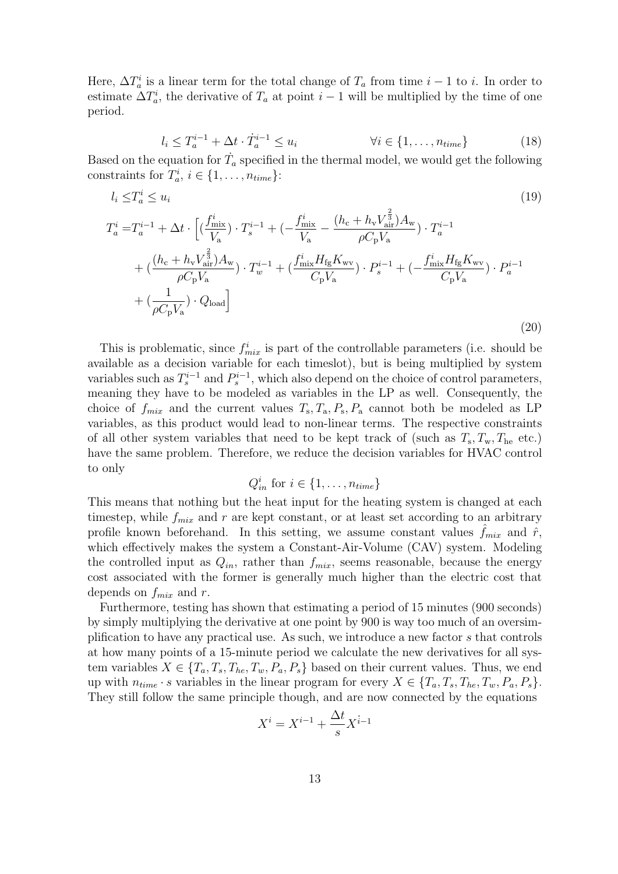Here,  $\Delta T_a^i$  is a linear term for the total change of  $T_a$  from time  $i-1$  to i. In order to estimate  $\Delta T_a^i$ , the derivative of  $T_a$  at point  $i-1$  will be multiplied by the time of one period.

$$
l_i \leq T_a^{i-1} + \Delta t \cdot T_a^{i-1} \leq u_i \qquad \qquad \forall i \in \{1, \dots, n_{time}\} \tag{18}
$$

Based on the equation for  $\dot{T}_a$  specified in the thermal model, we would get the following constraints for  $T_a^i$ ,  $i \in \{1, \ldots, n_{time}\}$ :

$$
l_{i} \leq T_{a}^{i} \leq u_{i}
$$
\n
$$
T_{a}^{i} = T_{a}^{i-1} + \Delta t \cdot \left[ (\frac{f_{\text{mix}}^{i}}{V_{a}}) \cdot T_{s}^{i-1} + (-\frac{f_{\text{mix}}^{i}}{V_{a}} - \frac{(h_{c} + h_{v}V_{\text{air}}^{\frac{2}{3}})A_{w}}{\rho C_{p}V_{a}}) \cdot T_{a}^{i-1} + (\frac{(h_{c} + h_{v}V_{\text{air}}^{\frac{2}{3}})A_{w}}{\rho C_{p}V_{a}}) \cdot T_{w}^{i-1} + (\frac{f_{\text{mix}}^{i}H_{fg}K_{wv}}{C_{p}V_{a}}) \cdot P_{s}^{i-1} + (-\frac{f_{\text{mix}}^{i}H_{fg}K_{wv}}{C_{p}V_{a}}) \cdot P_{a}^{i-1} + (\frac{1}{\rho C_{p}V_{a}}) \cdot Q_{\text{load}} \right]
$$
\n(20)

This is problematic, since  $f_{mix}^i$  is part of the controllable parameters (i.e. should be available as a decision variable for each timeslot), but is being multiplied by system variables such as  $T_s^{i-1}$  and  $P_s^{i-1}$ , which also depend on the choice of control parameters, meaning they have to be modeled as variables in the LP as well. Consequently, the choice of  $f_{mix}$  and the current values  $T_s$ ,  $T_a$ ,  $P_s$ ,  $P_a$  cannot both be modeled as LP variables, as this product would lead to non-linear terms. The respective constraints of all other system variables that need to be kept track of (such as  $T_s, T_w, T_{he}$  etc.) have the same problem. Therefore, we reduce the decision variables for HVAC control to only

$$
Q_{in}^i \text{ for } i \in \{1, \ldots, n_{time}\}\
$$

This means that nothing but the heat input for the heating system is changed at each timestep, while  $f_{mix}$  and r are kept constant, or at least set according to an arbitrary profile known beforehand. In this setting, we assume constant values  $f_{mix}$  and  $\hat{r}$ , which effectively makes the system a Constant-Air-Volume (CAV) system. Modeling the controlled input as  $Q_{in}$ , rather than  $f_{mix}$ , seems reasonable, because the energy cost associated with the former is generally much higher than the electric cost that depends on  $f_{mix}$  and r.

Furthermore, testing has shown that estimating a period of 15 minutes (900 seconds) by simply multiplying the derivative at one point by 900 is way too much of an oversimplification to have any practical use. As such, we introduce a new factor s that controls at how many points of a 15-minute period we calculate the new derivatives for all system variables  $X \in \{T_a, T_s, T_{he}, T_w, P_a, P_s\}$  based on their current values. Thus, we end up with  $n_{time} \cdot s$  variables in the linear program for every  $X \in \{T_a, T_s, T_{he}, T_w, P_a, P_s\}.$ They still follow the same principle though, and are now connected by the equations

$$
X^i = X^{i-1} + \frac{\Delta t}{s} X^{i-1}
$$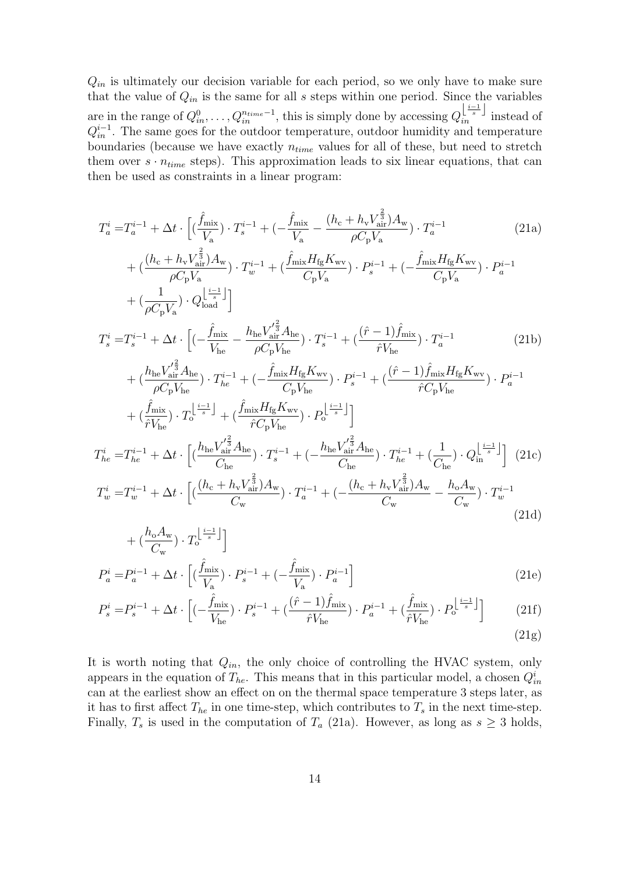$Q_{in}$  is ultimately our decision variable for each period, so we only have to make sure that the value of  $Q_{in}$  is the same for all s steps within one period. Since the variables are in the range of  $Q_{in}^0, \ldots, Q_{in}^{n_{time}-1}$ , this is simply done by accessing  $Q_{in}^{\left[\frac{i-1}{s}\right]}$  instead of  $Q_{in}^{i-1}$ . The same goes for the outdoor temperature, outdoor humidity and temperature boundaries (because we have exactly  $n_{time}$  values for all of these, but need to stretch them over  $s \cdot n_{time}$  steps). This approximation leads to six linear equations, that can then be used as constraints in a linear program:

$$
T_{a}^{i} = T_{a}^{i-1} + \Delta t \cdot \left[ (\frac{\hat{f}_{\text{mix}}}{V_{a}}) \cdot T_{s}^{i-1} + (-\frac{\hat{f}_{\text{mix}}}{V_{a}} - \frac{(h_{c} + h_{v}V_{\text{air}}^{\frac{2}{3}})A_{w}}{\rho C_{p}V_{a}}) \cdot T_{a}^{i-1} \right]
$$
(21a)  
+  $(\frac{(h_{c} + h_{v}V_{\text{air}}^{\frac{2}{3}})A_{w}}{\rho C_{p}V_{a}}) \cdot T_{w}^{i-1} + (\frac{\hat{f}_{\text{mix}}H_{g}K_{wv}}{C_{p}V_{a}}) \cdot P_{s}^{i-1} + (-\frac{\hat{f}_{\text{mix}}H_{g}K_{wv}}{C_{p}V_{a}}) \cdot P_{a}^{i-1} + (\frac{1}{\rho C_{p}V_{a}}) \cdot Q_{\text{load}}^{\left[\frac{i-1}{s}\right]} \right]$   

$$
T_{s}^{i} = T_{s}^{i-1} + \Delta t \cdot \left[ (-\frac{\hat{f}_{\text{mix}}}{V_{he}} - \frac{h_{he}V_{\text{air}}^{\prime \frac{2}{3}}A_{he}}{\rho C_{p}V_{he}}) \cdot T_{s}^{i-1} + (\frac{(\hat{r} - 1)\hat{f}_{\text{mix}}}{\hat{r}V_{he}}) \cdot T_{a}^{i-1} \right]
$$
(21b)  
+  $(\frac{h_{he}V_{\text{air}}^{\prime \frac{2}{3}}A_{he}}{\rho C_{p}V_{he}}) \cdot T_{he}^{i-1} + (-\frac{\hat{f}_{\text{mix}}H_{g}K_{wv}}{C_{p}V_{he}}) \cdot P_{s}^{i-1} + (\frac{(\hat{r} - 1)\hat{f}_{\text{mix}}H_{g}K_{wv}}{\hat{r}C_{p}V_{he}}) \cdot P_{a}^{i-1} + (\frac{\hat{f}_{\text{mix}}}{\hat{r}V_{he}}) \cdot T_{a}^{i-1} + (\frac{\hat{f}_{\text{mix}}H_{g}K_{wv}}{\hat{r}C_{p}V_{he}}) \cdot T_{a}^{i-1} + (\frac{\hat{f}_{\text{mix}}H_{g}K_{wv}}{\hat{r}C_{p}V_{he}}) \cdot T$ 

$$
+\left(\frac{h_o A_w}{C_w}\right) \cdot T_o^{\left\lfloor \frac{i-1}{s} \right\rfloor} \Bigg]
$$
  

$$
P_a^i = P_a^{i-1} + \Delta t \cdot \left[ \left(\frac{\hat{f}_{\text{mix}}}{V_a}\right) \cdot P_s^{i-1} + \left(-\frac{\hat{f}_{\text{mix}}}{V_a}\right) \cdot P_a^{i-1} \right]
$$
 (21e)

$$
P_s^i = P_s^{i-1} + \Delta t \cdot \left[ (-\frac{\hat{f}_{\text{mix}}}{V_{\text{he}}}) \cdot P_s^{i-1} + \left( \frac{(\hat{r} - 1)\hat{f}_{\text{mix}}}{\hat{r}V_{\text{he}}} \right) \cdot P_a^{i-1} + \left( \frac{\hat{f}_{\text{mix}}}{\hat{r}V_{\text{he}}} \right) \cdot P_o^{\left\lfloor \frac{i-1}{s} \right\rfloor} \right] \tag{21f}
$$

<span id="page-16-0"></span>
$$
(21g)
$$

It is worth noting that  $Q_{in}$ , the only choice of controlling the HVAC system, only appears in the equation of  $T_{he}$ . This means that in this particular model, a chosen  $Q_{in}^i$ can at the earliest show an effect on on the thermal space temperature 3 steps later, as it has to first affect  $T_{he}$  in one time-step, which contributes to  $T_s$  in the next time-step. Finally,  $T_s$  is used in the computation of  $T_a$  [\(21a\)](#page-16-0). However, as long as  $s \geq 3$  holds,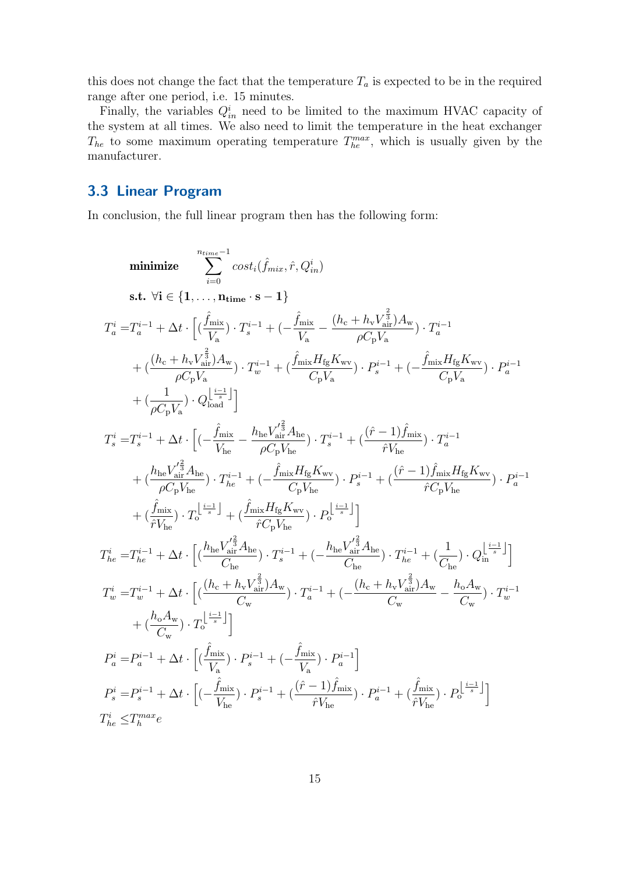this does not change the fact that the temperature  $T_a$  is expected to be in the required range after one period, i.e. 15 minutes.

Finally, the variables  $Q_{in}^{i}$  need to be limited to the maximum HVAC capacity of the system at all times. We also need to limit the temperature in the heat exchanger  $T_{he}$  to some maximum operating temperature  $T_{he}^{max}$ , which is usually given by the manufacturer.

## <span id="page-17-0"></span>3.3 Linear Program

In conclusion, the full linear program then has the following form:

$$
\begin{array}{ll} \mbox{minimize} & \sum_{i=0}^{n_{time}-1} cost_i(\hat{f}_{mix}, \hat{r}, Q_{in}^i) \\ \mbox{s.t.} \ \ \forall i \in \{1,\dots,n_{time} \cdot s-1\} \\ T_a^i = T_a^{i-1} + \Delta t \cdot \Big[(\frac{\hat{f}_{mix}}{V_a}) \cdot T_s^{i-1} + (-\frac{\hat{f}_{mix}}{V_a} - \frac{(h_c + h_V V_{\hat{ar}}^{\frac{2}{3}})A_{\rm w}}{\rho C_{\rm p} V_a}) \cdot T_a^{i-1} \\ & + (\frac{(h_c + h_V V_{\hat{ar}}^{\frac{2}{3}})A_{\rm w}}{\rho C_{\rm p} V_a}) \cdot T_w^{i-1} + (\frac{\hat{f}_{mix} H_{\rm fg} K_{\rm wv}}{C_{\rm p} V_a}) \cdot P_s^{i-1} + (-\frac{\hat{f}_{mix} H_{\rm fg} K_{\rm wv}}{C_{\rm p} V_a}) \cdot P_a^{i-1} \\ & + (\frac{1}{\rho C_{\rm p} V_a}) \cdot Q_{\rm load}^{\left[\frac{i-1}{2}\right]} \Big] \\ T_s^i = T_s^{i-1} + \Delta t \cdot \Big[ (-\frac{\hat{f}_{mix}}{V_{he}} - \frac{h_{\rm he} V_{\rm af}^{\prime \frac{2}{3}} A_{\rm he}}{\rho C_{\rm p} V_{\rm he}}) \cdot T_s^{i-1} + (\frac{(\hat{r}-1)\hat{f}_{\rm mix}}{\hat{r} V_{\rm he}}) \cdot T_a^{i-1} \\ & + (\frac{h_{\rm he} V_{\rm air}^{\prime \frac{2}{3}} A_{\rm he}}{\rho C_{\rm p} V_{\rm he}}) \cdot T_e^{i-1} + (-\frac{\hat{f}_{\rm mix} H_{\rm fg} K_{\rm wv}}{C_{\rm p} V_{\rm he}}) \cdot P_s^{i-1} + (\frac{(\hat{r}-1)\hat{f}_{\rm mix} H_{\rm fg} K_{\rm wv}}{\hat{r} C_{\rm p} V_{\rm he}}) \cdot P_a^{i-1} \\ & + (\frac{\hat{f}_{\rm mix}}{\hat{r} V_{\rm he}}) \cdot T_b^{\frac{i-1}{s}} + (\frac{\hat{f}_{\rm mix} H_{\rm fg} K_{\rm wv}}{r C_{\rm p} V_{\rm he}}) \cdot P_s^{\frac{i-1
$$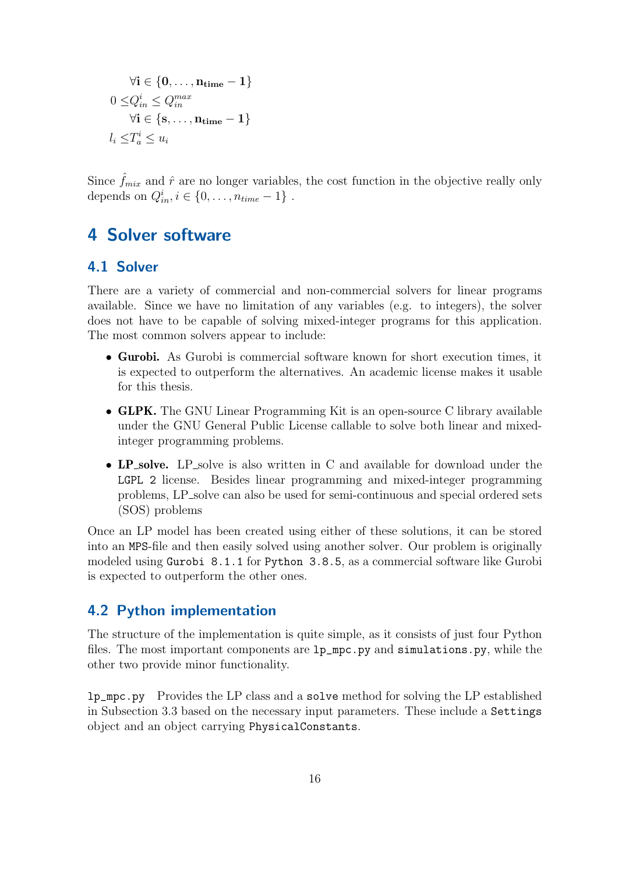$$
\forall \mathbf{i} \in \{0, \dots, \mathbf{n}_{\text{time}} - 1\}
$$

$$
0 \leq Q_{in}^{i} \leq Q_{in}^{max}
$$

$$
\forall \mathbf{i} \in \{\mathbf{s}, \dots, \mathbf{n}_{\text{time}} - 1\}
$$

$$
l_i \leq T_a^i \leq u_i
$$

Since  $\hat{f}_{mix}$  and  $\hat{r}$  are no longer variables, the cost function in the objective really only depends on  $Q_{in}^i, i \in \{0, \ldots, n_{time} - 1\}$ .

## <span id="page-18-0"></span>4 Solver software

### <span id="page-18-1"></span>4.1 Solver

There are a variety of commercial and non-commercial solvers for linear programs available. Since we have no limitation of any variables (e.g. to integers), the solver does not have to be capable of solving mixed-integer programs for this application. The most common solvers appear to include:

- Gurobi. As Gurobi is commercial software known for short execution times, it is expected to outperform the alternatives. An academic license makes it usable for this thesis.
- GLPK. The GNU Linear Programming Kit is an open-source C library available under the GNU General Public License callable to solve both linear and mixedinteger programming problems.
- LP\_solve. LP\_solve is also written in C and available for download under the LGPL 2 license. Besides linear programming and mixed-integer programming problems, LP solve can also be used for semi-continuous and special ordered sets (SOS) problems

Once an LP model has been created using either of these solutions, it can be stored into an MPS-file and then easily solved using another solver. Our problem is originally modeled using Gurobi 8.1.1 for Python 3.8.5, as a commercial software like Gurobi is expected to outperform the other ones.

### <span id="page-18-2"></span>4.2 Python implementation

The structure of the implementation is quite simple, as it consists of just four Python files. The most important components are lp\_mpc.py and simulations.py, while the other two provide minor functionality.

lp\_mpc.py Provides the LP class and a solve method for solving the LP established in Subsection [3.3](#page-17-0) based on the necessary input parameters. These include a Settings object and an object carrying PhysicalConstants.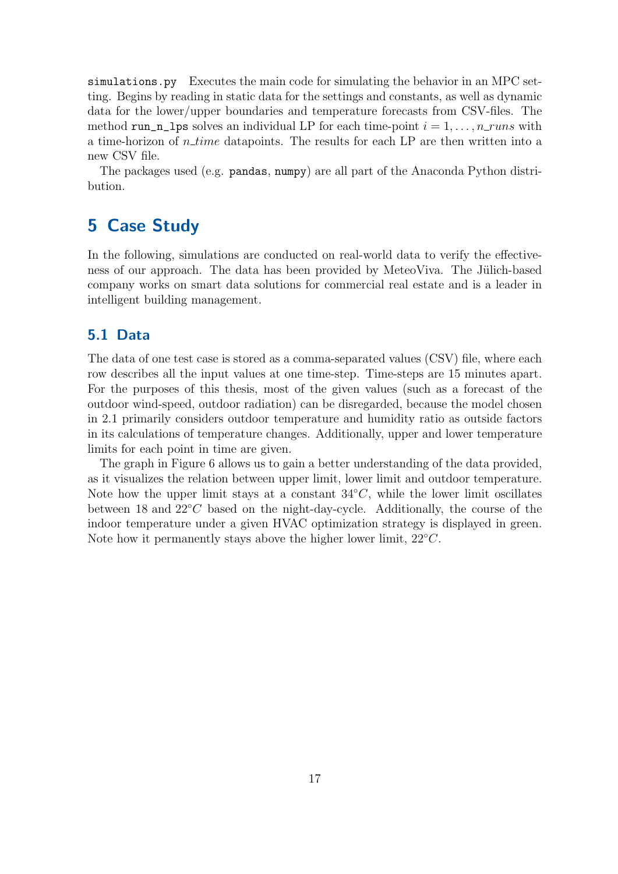simulations.py Executes the main code for simulating the behavior in an MPC setting. Begins by reading in static data for the settings and constants, as well as dynamic data for the lower/upper boundaries and temperature forecasts from CSV-files. The method run\_n\_lps solves an individual LP for each time-point  $i = 1, \ldots, n_{\text{max}}$  with a time-horizon of  $n_time$  datapoints. The results for each LP are then written into a new CSV file.

The packages used (e.g. pandas, numpy) are all part of the Anaconda Python distribution.

## <span id="page-19-0"></span>5 Case Study

In the following, simulations are conducted on real-world data to verify the effectiveness of our approach. The data has been provided by MeteoViva. The Jülich-based company works on smart data solutions for commercial real estate and is a leader in intelligent building management.

### <span id="page-19-1"></span>5.1 Data

The data of one test case is stored as a comma-separated values (CSV) file, where each row describes all the input values at one time-step. Time-steps are 15 minutes apart. For the purposes of this thesis, most of the given values (such as a forecast of the outdoor wind-speed, outdoor radiation) can be disregarded, because the model chosen in [2.1](#page-7-2) primarily considers outdoor temperature and humidity ratio as outside factors in its calculations of temperature changes. Additionally, upper and lower temperature limits for each point in time are given.

The graph in Figure [6](#page-20-1) allows us to gain a better understanding of the data provided, as it visualizes the relation between upper limit, lower limit and outdoor temperature. Note how the upper limit stays at a constant  $34°C$ , while the lower limit oscillates between 18 and 22◦C based on the night-day-cycle. Additionally, the course of the indoor temperature under a given HVAC optimization strategy is displayed in green. Note how it permanently stays above the higher lower limit,  $22^{\circ}C$ .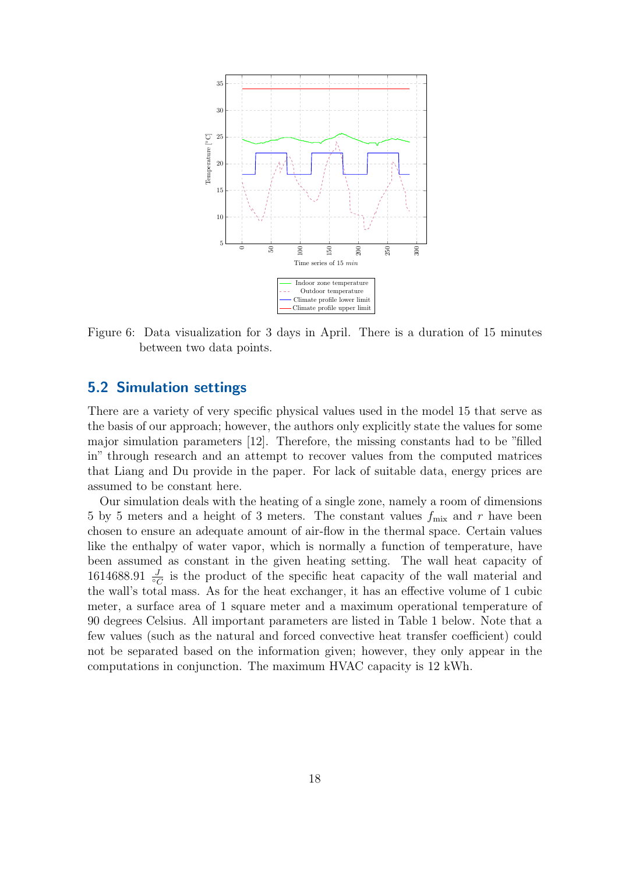<span id="page-20-1"></span>

Figure 6: Data visualization for 3 days in April. There is a duration of 15 minutes between two data points.

### <span id="page-20-0"></span>5.2 Simulation settings

There are a variety of very specific physical values used in the model [15](#page-11-0) that serve as the basis of our approach; however, the authors only explicitly state the values for some major simulation parameters [\[12\]](#page-30-9). Therefore, the missing constants had to be "filled in" through research and an attempt to recover values from the computed matrices that Liang and Du provide in the paper. For lack of suitable data, energy prices are assumed to be constant here.

Our simulation deals with the heating of a single zone, namely a room of dimensions 5 by 5 meters and a height of 3 meters. The constant values  $f_{\text{mix}}$  and r have been chosen to ensure an adequate amount of air-flow in the thermal space. Certain values like the enthalpy of water vapor, which is normally a function of temperature, have been assumed as constant in the given heating setting. The wall heat capacity of 1614688.91  $\frac{J}{\circ C}$  is the product of the specific heat capacity of the wall material and the wall's total mass. As for the heat exchanger, it has an effective volume of 1 cubic meter, a surface area of 1 square meter and a maximum operational temperature of 90 degrees Celsius. All important parameters are listed in Table [1](#page-21-0) below. Note that a few values (such as the natural and forced convective heat transfer coefficient) could not be separated based on the information given; however, they only appear in the computations in conjunction. The maximum HVAC capacity is 12 kWh.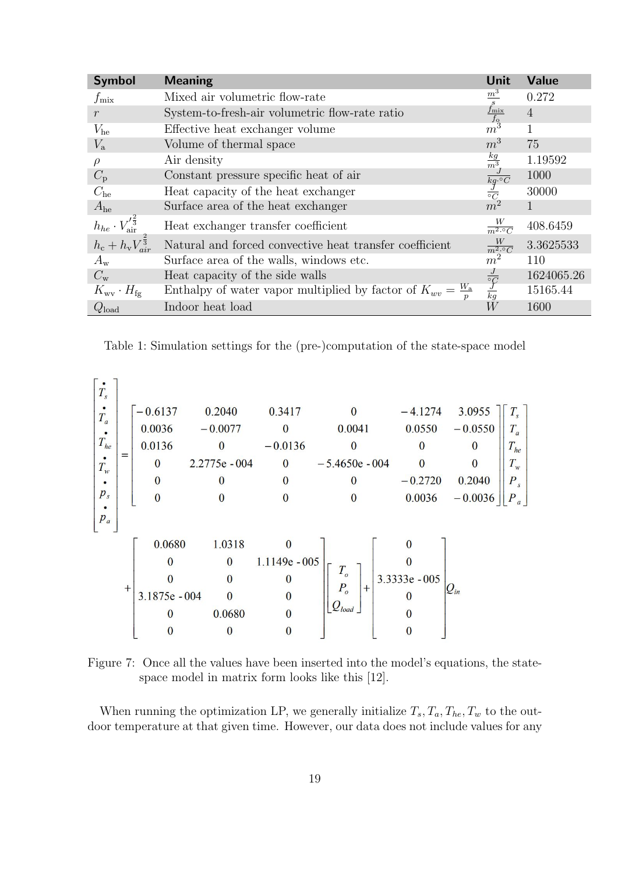<span id="page-21-0"></span>

| <b>Symbol</b>                                      | <b>Meaning</b>                                                           | Unit                                                                                                       | <b>Value</b>   |
|----------------------------------------------------|--------------------------------------------------------------------------|------------------------------------------------------------------------------------------------------------|----------------|
| $f_{\rm mix}$                                      | Mixed air volumetric flow-rate                                           | $\frac{m^3}{\frac{f_{\text{mix}}}{f_{\text{o}}}}$                                                          | 0.272          |
| $\mathcal{r}$                                      | System-to-fresh-air volumetric flow-rate ratio                           |                                                                                                            | $\overline{4}$ |
| $V_{\text{he}}$                                    | Effective heat exchanger volume                                          | m <sup>3</sup>                                                                                             | 1              |
| $V_{\rm a}$                                        | Volume of thermal space                                                  | m <sup>3</sup>                                                                                             | 75             |
| $\rho$                                             | Air density                                                              |                                                                                                            | 1.19592        |
| $C_{\rm p}$                                        | Constant pressure specific heat of air                                   | $\begin{array}{l} \frac{kg}{m^3} \\ \frac{J}{kg \cdot {^\circ}C} \\ \frac{J}{^\circ C} \\ m^2 \end{array}$ | 1000           |
| $C_{he}$                                           | Heat capacity of the heat exchanger                                      |                                                                                                            | 30000          |
| $A_{he}$                                           | Surface area of the heat exchanger                                       |                                                                                                            |                |
| $h_{he} \cdot V_{\text{air}}^{\prime \frac{2}{3}}$ | Heat exchanger transfer coefficient                                      | $\frac{W}{m^2 \cdot 2C}$                                                                                   | 408.6459       |
| $h_{\rm c}+h_{\rm v}V_{air}^{\frac{1}{3}}$         | Natural and forced convective heat transfer coefficient                  | $\frac{W}{m^2 \cdot 2C}$                                                                                   | 3.3625533      |
| $A_{\rm w}$                                        | Surface area of the walls, windows etc.                                  | $\overline{m}^2$                                                                                           | 110            |
| $C_{\rm w}$                                        | Heat capacity of the side walls                                          |                                                                                                            | 1624065.26     |
| $K_{\rm wv} \cdot H_{\rm fg}$                      | Enthalpy of water vapor multiplied by factor of $K_{wv} = \frac{W_a}{n}$ | $\frac{J}{\frac{\circ}{k}g}$                                                                               | 15165.44       |
| $Q_{\mathrm{load}}$                                | Indoor heat load                                                         | W                                                                                                          | 1600           |

Table 1: Simulation settings for the (pre-)computation of the state-space model

| $T_{s}$  |     |               |               |                 |                  |               |           |          |
|----------|-----|---------------|---------------|-----------------|------------------|---------------|-----------|----------|
| $T_a$    |     | $-0.6137$     | 0.2040        | 0.3417          | $\Omega$         | $-4.1274$     | 3.0955    | $T_{s}$  |
|          |     | 0.0036        | $-0.0077$     | $\Omega$        | 0.0041           | 0.0550        | $-0.0550$ | $T_a$    |
| $T_{he}$ |     | 0.0136        | $\bf{0}$      | $-0.0136$       | $\theta$         |               | $\bf{0}$  | $T_{he}$ |
| $T_w$    | $=$ | $\mathbf{0}$  | 2.2775e - 004 | $\bf{0}$        | $-5.4650e - 004$ | $\Omega$      |           | $T_{w}$  |
|          |     | $\theta$      |               | $\theta$        |                  | $-0.2720$     | 0.2040    | $P_{s}$  |
| $p_{s}$  |     | 0             |               |                 |                  | 0.0036        | $-0.0036$ | $P_a$    |
| $p_a$    |     |               |               |                 |                  |               |           |          |
|          |     | 0.0680        | 1.0318        | $\mathbf{0}$    |                  |               |           |          |
|          |     | $\mathbf{0}$  | $\bf{0}$      | $1.1149e - 005$ |                  |               |           |          |
|          | $+$ |               | $\Omega$      |                 | $T_{o}$<br>$+$   | 3.3333e - 005 |           |          |
|          |     | 3.1875e - 004 | $\Omega$      |                 | $P_{o}$          |               | $Q_{in}$  |          |
|          |     | $\Omega$      | 0.0680        | $\mathbf{0}$    | $Q_{load}$       |               |           |          |
|          |     |               |               |                 |                  |               |           |          |

Figure 7: Once all the values have been inserted into the model's equations, the statespace model in matrix form looks like this [\[12\]](#page-30-9).

When running the optimization LP, we generally initialize  $T_s$ ,  $T_a$ ,  $T_{he}$ ,  $T_w$  to the outdoor temperature at that given time. However, our data does not include values for any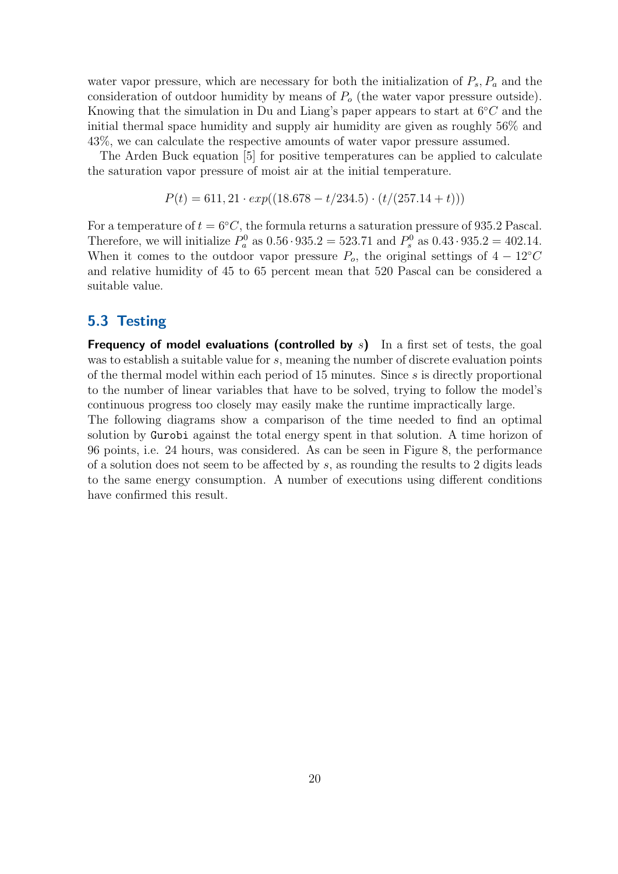water vapor pressure, which are necessary for both the initialization of  $P_s$ ,  $P_a$  and the consideration of outdoor humidity by means of  $P<sub>o</sub>$  (the water vapor pressure outside). Knowing that the simulation in Du and Liang's paper appears to start at  $6°C$  and the initial thermal space humidity and supply air humidity are given as roughly 56% and 43%, we can calculate the respective amounts of water vapor pressure assumed.

The Arden Buck equation [\[5\]](#page-29-10) for positive temperatures can be applied to calculate the saturation vapor pressure of moist air at the initial temperature.

$$
P(t) = 611, 21 \cdot exp((18.678 - t/234.5) \cdot (t/(257.14 + t)))
$$

For a temperature of  $t = 6\degree C$ , the formula returns a saturation pressure of 935.2 Pascal. Therefore, we will initialize  $P_a^0$  as  $0.56 \cdot 935.2 = 523.71$  and  $P_s^0$  as  $0.43 \cdot 935.2 = 402.14$ . When it comes to the outdoor vapor pressure  $P_o$ , the original settings of  $4 - 12°C$ and relative humidity of 45 to 65 percent mean that 520 Pascal can be considered a suitable value.

### <span id="page-22-0"></span>5.3 Testing

**Frequency of model evaluations (controlled by s)** In a first set of tests, the goal was to establish a suitable value for s, meaning the number of discrete evaluation points of the thermal model within each period of 15 minutes. Since s is directly proportional to the number of linear variables that have to be solved, trying to follow the model's continuous progress too closely may easily make the runtime impractically large.

The following diagrams show a comparison of the time needed to find an optimal solution by Gurobi against the total energy spent in that solution. A time horizon of 96 points, i.e. 24 hours, was considered. As can be seen in Figure [8,](#page-23-0) the performance of a solution does not seem to be affected by s, as rounding the results to 2 digits leads to the same energy consumption. A number of executions using different conditions have confirmed this result.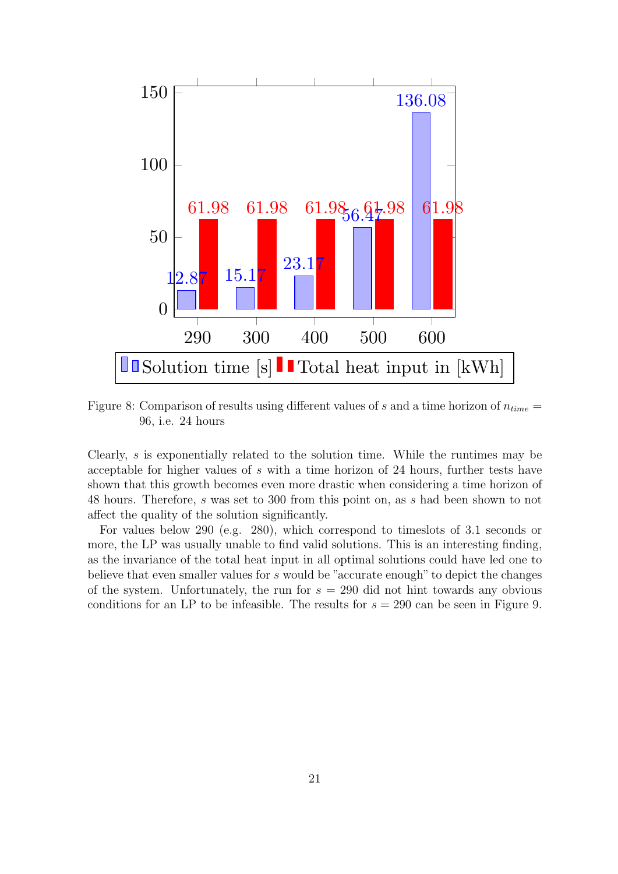<span id="page-23-0"></span>

Figure 8: Comparison of results using different values of s and a time horizon of  $n_{time} =$ 96, i.e. 24 hours

Clearly, s is exponentially related to the solution time. While the runtimes may be acceptable for higher values of s with a time horizon of 24 hours, further tests have shown that this growth becomes even more drastic when considering a time horizon of 48 hours. Therefore, s was set to 300 from this point on, as s had been shown to not affect the quality of the solution significantly.

For values below 290 (e.g. 280), which correspond to timeslots of 3.1 seconds or more, the LP was usually unable to find valid solutions. This is an interesting finding, as the invariance of the total heat input in all optimal solutions could have led one to believe that even smaller values for s would be "accurate enough" to depict the changes of the system. Unfortunately, the run for  $s = 290$  did not hint towards any obvious conditions for an LP to be infeasible. The results for  $s = 290$  can be seen in Figure [9.](#page-24-0)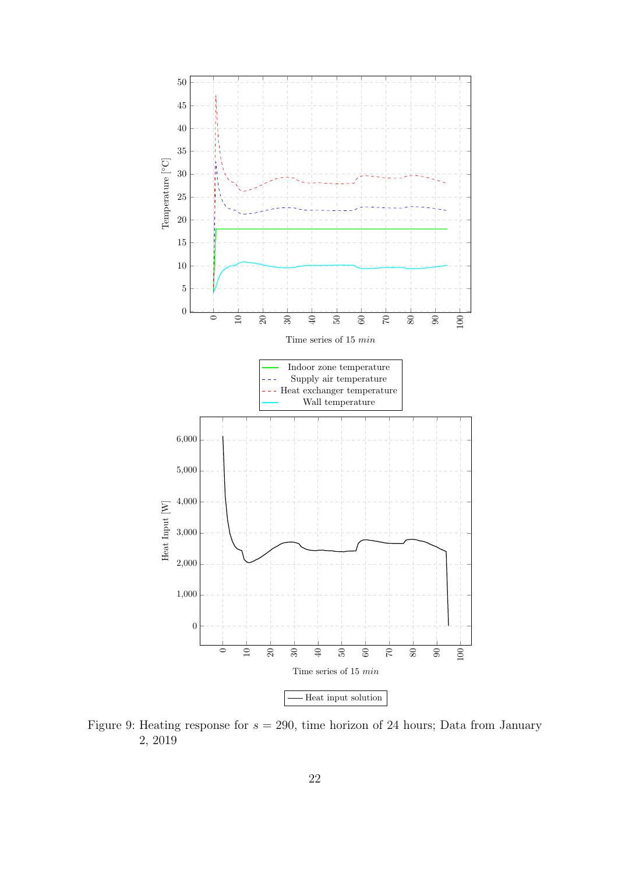<span id="page-24-0"></span>

Figure 9: Heating response for  $s = 290$ , time horizon of 24 hours; Data from January 2, 2019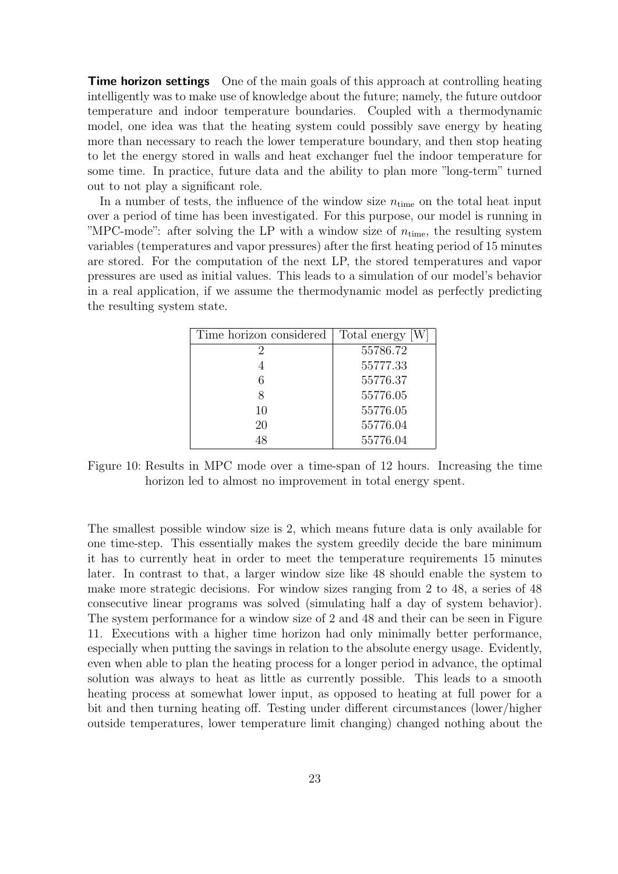**Time horizon settings** One of the main goals of this approach at controlling heating intelligently was to make use of knowledge about the future; namely, the future outdoor temperature and indoor temperature boundaries. Coupled with a thermodynamic model, one idea was that the heating system could possibly save energy by heating more than necessary to reach the lower temperature boundary, and then stop heating to let the energy stored in walls and heat exchanger fuel the indoor temperature for some time. In practice, future data and the ability to plan more "long-term" turned out to not play a significant role.

In a number of tests, the influence of the window size  $n_{time}$  on the total heat input over a period of time has been investigated. For this purpose, our model is running in "MPC-mode": after solving the LP with a window size of  $n_{time}$ , the resulting system variables (temperatures and vapor pressures) after the first heating period of 15 minutes are stored. For the computation of the next LP, the stored temperatures and vapor pressures are used as initial values. This leads to a simulation of our model's behavior in a real application, if we assume the thermodynamic model as perfectly predicting the resulting system state.

| Time horizon considered | Total energy |
|-------------------------|--------------|
| 2                       | 55786.72     |
|                         | 55777.33     |
|                         | 55776.37     |
| x                       | 55776.05     |
| 10                      | 55776.05     |
| 20                      | 55776.04     |
|                         | 55776.04     |

Figure 10: Results in MPC mode over a time-span of 12 hours. Increasing the time horizon led to almost no improvement in total energy spent.

The smallest possible window size is 2, which means future data is only available for one time-step. This essentially makes the system greedily decide the bare minimum it has to currently heat in order to meet the temperature requirements 15 minutes later. In contrast to that, a larger window size like 48 should enable the system to make more strategic decisions. For window sizes ranging from 2 to 48, a series of 48 consecutive linear programs was solved (simulating half a day of system behavior). The system performance for a window size of 2 and 48 and their can be seen in Figure [11.](#page-26-0) Executions with a higher time horizon had only minimally better performance, especially when putting the savings in relation to the absolute energy usage. Evidently, even when able to plan the heating process for a longer period in advance, the optimal solution was always to heat as little as currently possible. This leads to a smooth heating process at somewhat lower input, as opposed to heating at full power for a bit and then turning heating off. Testing under different circumstances (lower/higher outside temperatures, lower temperature limit changing) changed nothing about the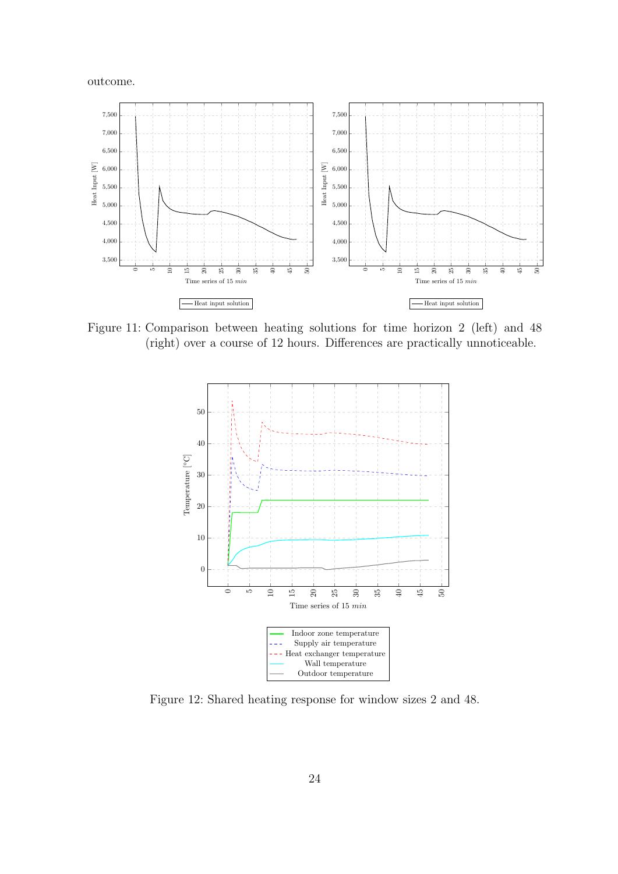outcome.

<span id="page-26-0"></span>

Figure 11: Comparison between heating solutions for time horizon 2 (left) and 48 (right) over a course of 12 hours. Differences are practically unnoticeable.



Figure 12: Shared heating response for window sizes 2 and 48.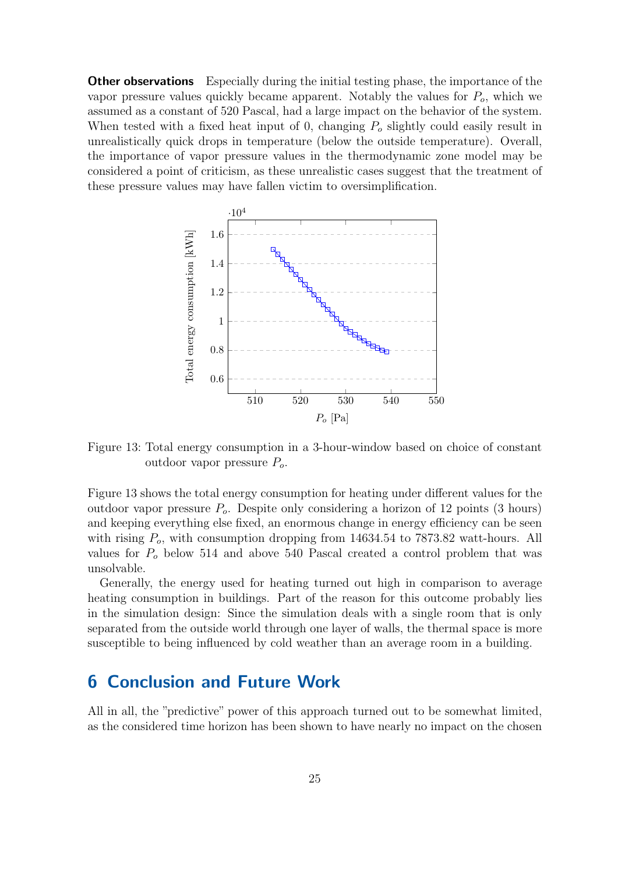**Other observations** Especially during the initial testing phase, the importance of the vapor pressure values quickly became apparent. Notably the values for  $P<sub>o</sub>$ , which we assumed as a constant of 520 Pascal, had a large impact on the behavior of the system. When tested with a fixed heat input of 0, changing  $P<sub>o</sub>$  slightly could easily result in unrealistically quick drops in temperature (below the outside temperature). Overall, the importance of vapor pressure values in the thermodynamic zone model may be considered a point of criticism, as these unrealistic cases suggest that the treatment of these pressure values may have fallen victim to oversimplification.

<span id="page-27-1"></span>

Figure 13: Total energy consumption in a 3-hour-window based on choice of constant outdoor vapor pressure  $P<sub>o</sub>$ .

Figure [13](#page-27-1) shows the total energy consumption for heating under different values for the outdoor vapor pressure  $P<sub>o</sub>$ . Despite only considering a horizon of 12 points (3 hours) and keeping everything else fixed, an enormous change in energy efficiency can be seen with rising  $P<sub>o</sub>$ , with consumption dropping from 14634.54 to 7873.82 watt-hours. All values for  $P<sub>o</sub>$  below 514 and above 540 Pascal created a control problem that was unsolvable.

Generally, the energy used for heating turned out high in comparison to average heating consumption in buildings. Part of the reason for this outcome probably lies in the simulation design: Since the simulation deals with a single room that is only separated from the outside world through one layer of walls, the thermal space is more susceptible to being influenced by cold weather than an average room in a building.

## <span id="page-27-0"></span>6 Conclusion and Future Work

All in all, the "predictive" power of this approach turned out to be somewhat limited, as the considered time horizon has been shown to have nearly no impact on the chosen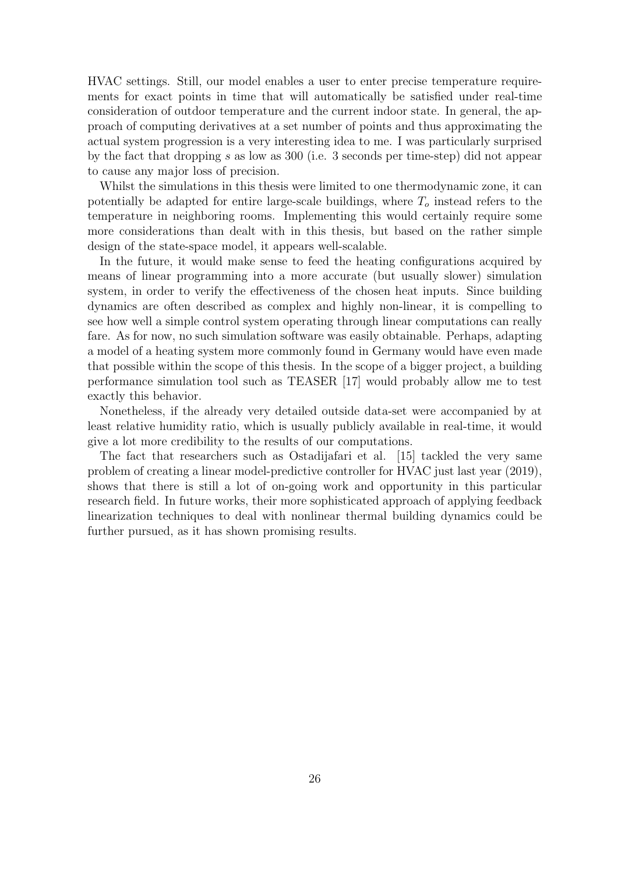HVAC settings. Still, our model enables a user to enter precise temperature requirements for exact points in time that will automatically be satisfied under real-time consideration of outdoor temperature and the current indoor state. In general, the approach of computing derivatives at a set number of points and thus approximating the actual system progression is a very interesting idea to me. I was particularly surprised by the fact that dropping s as low as 300 (i.e. 3 seconds per time-step) did not appear to cause any major loss of precision.

Whilst the simulations in this thesis were limited to one thermodynamic zone, it can potentially be adapted for entire large-scale buildings, where  $T<sub>o</sub>$  instead refers to the temperature in neighboring rooms. Implementing this would certainly require some more considerations than dealt with in this thesis, but based on the rather simple design of the state-space model, it appears well-scalable.

In the future, it would make sense to feed the heating configurations acquired by means of linear programming into a more accurate (but usually slower) simulation system, in order to verify the effectiveness of the chosen heat inputs. Since building dynamics are often described as complex and highly non-linear, it is compelling to see how well a simple control system operating through linear computations can really fare. As for now, no such simulation software was easily obtainable. Perhaps, adapting a model of a heating system more commonly found in Germany would have even made that possible within the scope of this thesis. In the scope of a bigger project, a building performance simulation tool such as TEASER [\[17\]](#page-30-5) would probably allow me to test exactly this behavior.

Nonetheless, if the already very detailed outside data-set were accompanied by at least relative humidity ratio, which is usually publicly available in real-time, it would give a lot more credibility to the results of our computations.

The fact that researchers such as Ostadijafari et al. [\[15\]](#page-30-4) tackled the very same problem of creating a linear model-predictive controller for HVAC just last year (2019), shows that there is still a lot of on-going work and opportunity in this particular research field. In future works, their more sophisticated approach of applying feedback linearization techniques to deal with nonlinear thermal building dynamics could be further pursued, as it has shown promising results.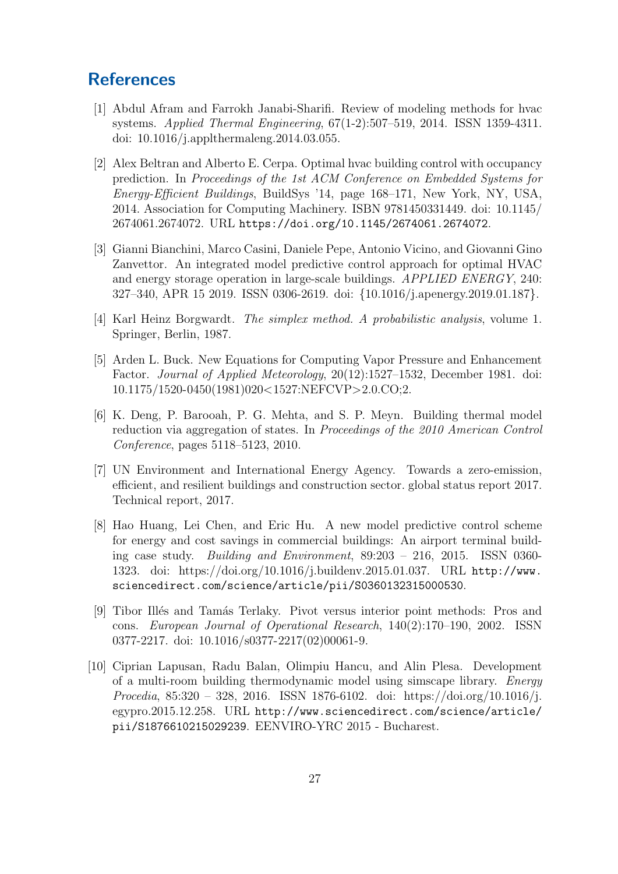## <span id="page-29-0"></span>**References**

- <span id="page-29-3"></span>[1] Abdul Afram and Farrokh Janabi-Sharifi. Review of modeling methods for hvac systems. Applied Thermal Engineering, 67(1-2):507–519, 2014. ISSN 1359-4311. doi: 10.1016/j.applthermaleng.2014.03.055.
- <span id="page-29-7"></span>[2] Alex Beltran and Alberto E. Cerpa. Optimal hvac building control with occupancy prediction. In Proceedings of the 1st ACM Conference on Embedded Systems for Energy-Efficient Buildings, BuildSys '14, page 168–171, New York, NY, USA, 2014. Association for Computing Machinery. ISBN 9781450331449. doi: 10.1145/ 2674061.2674072. URL <https://doi.org/10.1145/2674061.2674072>.
- <span id="page-29-2"></span>[3] Gianni Bianchini, Marco Casini, Daniele Pepe, Antonio Vicino, and Giovanni Gino Zanvettor. An integrated model predictive control approach for optimal HVAC and energy storage operation in large-scale buildings. APPLIED ENERGY, 240: 327–340, APR 15 2019. ISSN 0306-2619. doi: {10.1016/j.apenergy.2019.01.187}.
- <span id="page-29-8"></span>[4] Karl Heinz Borgwardt. The simplex method. A probabilistic analysis, volume 1. Springer, Berlin, 1987.
- <span id="page-29-10"></span>[5] Arden L. Buck. New Equations for Computing Vapor Pressure and Enhancement Factor. Journal of Applied Meteorology, 20(12):1527–1532, December 1981. doi: 10.1175/1520-0450(1981)020<1527:NEFCVP>2.0.CO;2.
- <span id="page-29-5"></span>[6] K. Deng, P. Barooah, P. G. Mehta, and S. P. Meyn. Building thermal model reduction via aggregation of states. In Proceedings of the 2010 American Control Conference, pages 5118–5123, 2010.
- <span id="page-29-1"></span>[7] UN Environment and International Energy Agency. Towards a zero-emission, efficient, and resilient buildings and construction sector. global status report 2017. Technical report, 2017.
- <span id="page-29-4"></span>[8] Hao Huang, Lei Chen, and Eric Hu. A new model predictive control scheme for energy and cost savings in commercial buildings: An airport terminal building case study. Building and Environment, 89:203 – 216, 2015. ISSN 0360- 1323. doi: https://doi.org/10.1016/j.buildenv.2015.01.037. URL [http://www.](http://www.sciencedirect.com/science/article/pii/S0360132315000530) [sciencedirect.com/science/article/pii/S0360132315000530](http://www.sciencedirect.com/science/article/pii/S0360132315000530).
- <span id="page-29-9"></span>[9] Tibor Ill´es and Tam´as Terlaky. Pivot versus interior point methods: Pros and cons. European Journal of Operational Research, 140(2):170–190, 2002. ISSN 0377-2217. doi: 10.1016/s0377-2217(02)00061-9.
- <span id="page-29-6"></span>[10] Ciprian Lapusan, Radu Balan, Olimpiu Hancu, and Alin Plesa. Development of a multi-room building thermodynamic model using simscape library. Energy Procedia, 85:320 – 328, 2016. ISSN 1876-6102. doi: https://doi.org/10.1016/j. egypro.2015.12.258. URL [http://www.sciencedirect.com/science/article/](http://www.sciencedirect.com/science/article/pii/S1876610215029239) [pii/S1876610215029239](http://www.sciencedirect.com/science/article/pii/S1876610215029239). EENVIRO-YRC 2015 - Bucharest.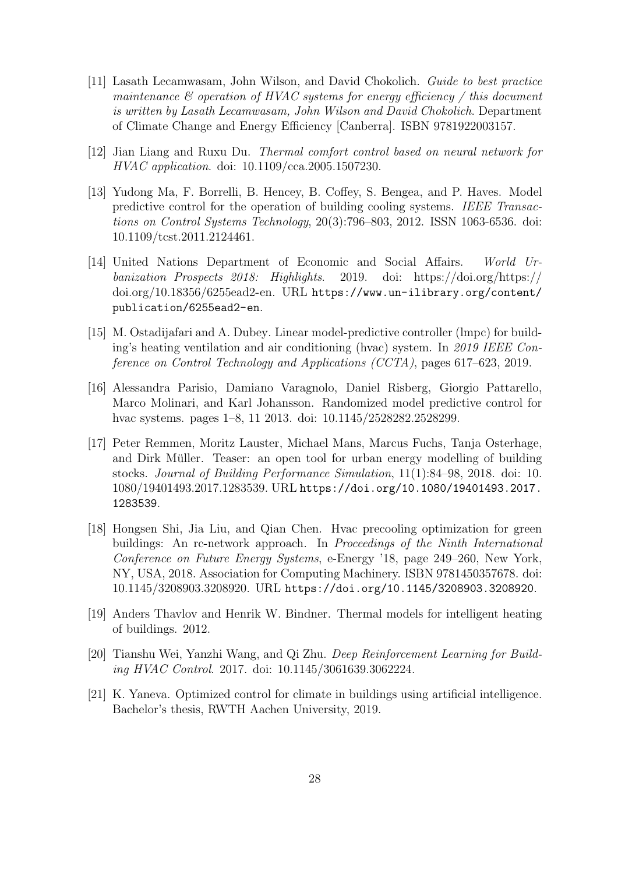- <span id="page-30-1"></span>[11] Lasath Lecamwasam, John Wilson, and David Chokolich. Guide to best practice maintenance  $\mathcal C$  operation of HVAC systems for energy efficiency / this document is written by Lasath Lecamwasam, John Wilson and David Chokolich. Department of Climate Change and Energy Efficiency [Canberra]. ISBN 9781922003157.
- <span id="page-30-9"></span>[12] Jian Liang and Ruxu Du. Thermal comfort control based on neural network for HVAC application. doi: 10.1109/cca.2005.1507230.
- <span id="page-30-6"></span>[13] Yudong Ma, F. Borrelli, B. Hencey, B. Coffey, S. Bengea, and P. Haves. Model predictive control for the operation of building cooling systems. IEEE Transactions on Control Systems Technology, 20(3):796–803, 2012. ISSN 1063-6536. doi: 10.1109/tcst.2011.2124461.
- <span id="page-30-0"></span>[14] United Nations Department of Economic and Social Affairs. World Urbanization Prospects 2018: Highlights. 2019. doi: https://doi.org/https:// doi.org/10.18356/6255ead2-en. URL [https://www.un-ilibrary.org/content/](https://www.un-ilibrary.org/content/publication/6255ead2-en) [publication/6255ead2-en](https://www.un-ilibrary.org/content/publication/6255ead2-en).
- <span id="page-30-4"></span>[15] M. Ostadijafari and A. Dubey. Linear model-predictive controller (lmpc) for building's heating ventilation and air conditioning (hvac) system. In 2019 IEEE Conference on Control Technology and Applications (CCTA), pages 617–623, 2019.
- <span id="page-30-8"></span>[16] Alessandra Parisio, Damiano Varagnolo, Daniel Risberg, Giorgio Pattarello, Marco Molinari, and Karl Johansson. Randomized model predictive control for hvac systems. pages 1–8, 11 2013. doi: 10.1145/2528282.2528299.
- <span id="page-30-5"></span>[17] Peter Remmen, Moritz Lauster, Michael Mans, Marcus Fuchs, Tanja Osterhage, and Dirk Müller. Teaser: an open tool for urban energy modelling of building stocks. Journal of Building Performance Simulation, 11(1):84–98, 2018. doi: 10. 1080/19401493.2017.1283539. URL [https://doi.org/10.1080/19401493.2017.](https://doi.org/10.1080/19401493.2017.1283539) [1283539](https://doi.org/10.1080/19401493.2017.1283539).
- <span id="page-30-7"></span>[18] Hongsen Shi, Jia Liu, and Qian Chen. Hvac precooling optimization for green buildings: An rc-network approach. In Proceedings of the Ninth International Conference on Future Energy Systems, e-Energy '18, page 249–260, New York, NY, USA, 2018. Association for Computing Machinery. ISBN 9781450357678. doi: 10.1145/3208903.3208920. URL <https://doi.org/10.1145/3208903.3208920>.
- <span id="page-30-3"></span>[19] Anders Thavlov and Henrik W. Bindner. Thermal models for intelligent heating of buildings. 2012.
- <span id="page-30-2"></span>[20] Tianshu Wei, Yanzhi Wang, and Qi Zhu. Deep Reinforcement Learning for Building HVAC Control. 2017. doi: 10.1145/3061639.3062224.
- <span id="page-30-10"></span>[21] K. Yaneva. Optimized control for climate in buildings using artificial intelligence. Bachelor's thesis, RWTH Aachen University, 2019.